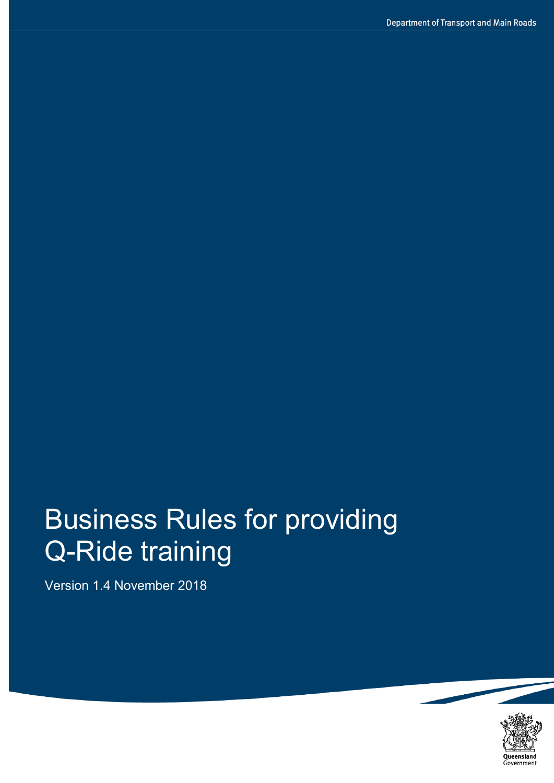# Business Rules for providing Q-Ride training

Version 1.4 November 2018

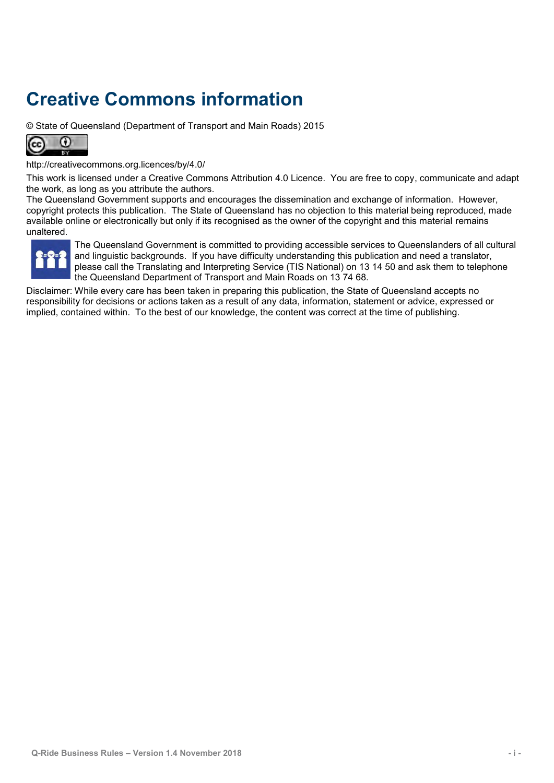## **Creative Commons information**

© State of Queensland (Department of Transport and Main Roads) 2015



<http://creativecommons.org.licences/by/4.0/>

This work is licensed under a Creative Commons Attribution 4.0 Licence. You are free to copy, communicate and adapt the work, as long as you attribute the authors.

The Queensland Government supports and encourages the dissemination and exchange of information. However, copyright protects this publication. The State of Queensland has no objection to this material being reproduced, made available online or electronically but only if its recognised as the owner of the copyright and this material remains unaltered.



The Queensland Government is committed to providing accessible services to Queenslanders of all cultural and linguistic backgrounds. If you have difficulty understanding this publication and need a translator, please call the Translating and Interpreting Service (TIS National) on 13 14 50 and ask them to telephone the Queensland Department of Transport and Main Roads on 13 74 68.

Disclaimer: While every care has been taken in preparing this publication, the State of Queensland accepts no responsibility for decisions or actions taken as a result of any data, information, statement or advice, expressed or implied, contained within. To the best of our knowledge, the content was correct at the time of publishing.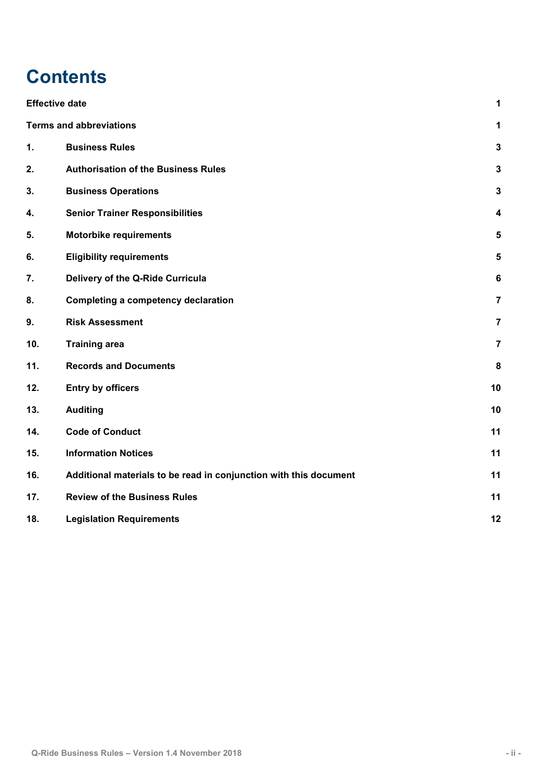## **Contents**

|     | <b>Effective date</b>                                             | 1                       |
|-----|-------------------------------------------------------------------|-------------------------|
|     | <b>Terms and abbreviations</b>                                    | 1                       |
| 1.  | <b>Business Rules</b>                                             | $\mathbf 3$             |
| 2.  | <b>Authorisation of the Business Rules</b>                        | $\mathbf{3}$            |
| 3.  | <b>Business Operations</b>                                        | $\mathbf{3}$            |
| 4.  | <b>Senior Trainer Responsibilities</b>                            | 4                       |
| 5.  | <b>Motorbike requirements</b>                                     | $5\phantom{a}$          |
| 6.  | <b>Eligibility requirements</b>                                   | $\sqrt{5}$              |
| 7.  | Delivery of the Q-Ride Curricula                                  | $\bf 6$                 |
| 8.  | <b>Completing a competency declaration</b>                        | $\overline{7}$          |
| 9.  | <b>Risk Assessment</b>                                            | $\overline{\mathbf{7}}$ |
| 10. | <b>Training area</b>                                              | $\overline{7}$          |
| 11. | <b>Records and Documents</b>                                      | 8                       |
| 12. | <b>Entry by officers</b>                                          | 10                      |
| 13. | <b>Auditing</b>                                                   | 10                      |
| 14. | <b>Code of Conduct</b>                                            | 11                      |
| 15. | <b>Information Notices</b>                                        | 11                      |
| 16. | Additional materials to be read in conjunction with this document | 11                      |
| 17. | <b>Review of the Business Rules</b>                               | 11                      |
| 18. | <b>Legislation Requirements</b>                                   | 12                      |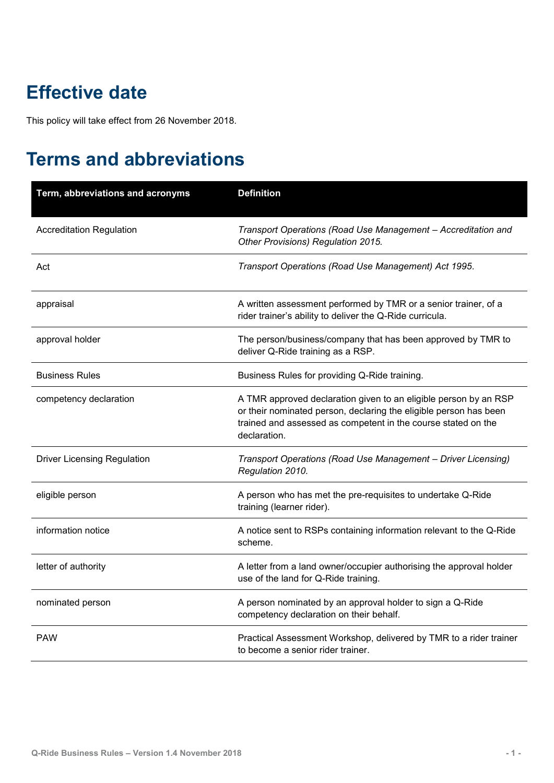## <span id="page-3-0"></span>**Effective date**

This policy will take effect from 26 November 2018.

## <span id="page-3-1"></span>**Terms and abbreviations**

| Term, abbreviations and acronyms   | <b>Definition</b>                                                                                                                                                                                                      |
|------------------------------------|------------------------------------------------------------------------------------------------------------------------------------------------------------------------------------------------------------------------|
| <b>Accreditation Regulation</b>    | Transport Operations (Road Use Management - Accreditation and<br>Other Provisions) Regulation 2015.                                                                                                                    |
| Act                                | Transport Operations (Road Use Management) Act 1995.                                                                                                                                                                   |
| appraisal                          | A written assessment performed by TMR or a senior trainer, of a<br>rider trainer's ability to deliver the Q-Ride curricula.                                                                                            |
| approval holder                    | The person/business/company that has been approved by TMR to<br>deliver Q-Ride training as a RSP.                                                                                                                      |
| <b>Business Rules</b>              | Business Rules for providing Q-Ride training.                                                                                                                                                                          |
| competency declaration             | A TMR approved declaration given to an eligible person by an RSP<br>or their nominated person, declaring the eligible person has been<br>trained and assessed as competent in the course stated on the<br>declaration. |
| <b>Driver Licensing Regulation</b> | Transport Operations (Road Use Management - Driver Licensing)<br>Regulation 2010.                                                                                                                                      |
| eligible person                    | A person who has met the pre-requisites to undertake Q-Ride<br>training (learner rider).                                                                                                                               |
| information notice                 | A notice sent to RSPs containing information relevant to the Q-Ride<br>scheme.                                                                                                                                         |
| letter of authority                | A letter from a land owner/occupier authorising the approval holder<br>use of the land for Q-Ride training.                                                                                                            |
| nominated person                   | A person nominated by an approval holder to sign a Q-Ride<br>competency declaration on their behalf.                                                                                                                   |
| <b>PAW</b>                         | Practical Assessment Workshop, delivered by TMR to a rider trainer<br>to become a senior rider trainer.                                                                                                                |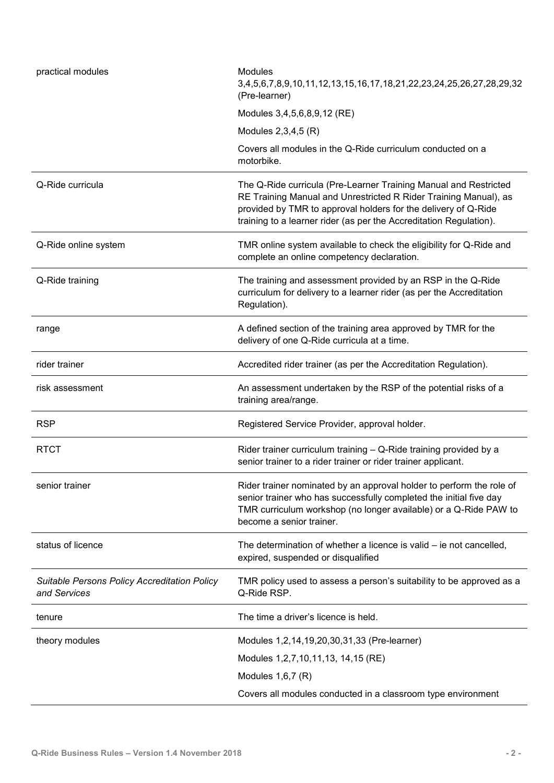| practical modules                                                   | <b>Modules</b><br>3,4,5,6,7,8,9,10,11,12,13,15,16,17,18,21,22,23,24,25,26,27,28,29,32<br>(Pre-learner)                                                                                                                                                                       |  |  |
|---------------------------------------------------------------------|------------------------------------------------------------------------------------------------------------------------------------------------------------------------------------------------------------------------------------------------------------------------------|--|--|
|                                                                     | Modules 3,4,5,6,8,9,12 (RE)                                                                                                                                                                                                                                                  |  |  |
|                                                                     | Modules 2,3,4,5 (R)                                                                                                                                                                                                                                                          |  |  |
|                                                                     | Covers all modules in the Q-Ride curriculum conducted on a<br>motorbike.                                                                                                                                                                                                     |  |  |
| Q-Ride curricula                                                    | The Q-Ride curricula (Pre-Learner Training Manual and Restricted<br>RE Training Manual and Unrestricted R Rider Training Manual), as<br>provided by TMR to approval holders for the delivery of Q-Ride<br>training to a learner rider (as per the Accreditation Regulation). |  |  |
| Q-Ride online system                                                | TMR online system available to check the eligibility for Q-Ride and<br>complete an online competency declaration.                                                                                                                                                            |  |  |
| Q-Ride training                                                     | The training and assessment provided by an RSP in the Q-Ride<br>curriculum for delivery to a learner rider (as per the Accreditation<br>Regulation).                                                                                                                         |  |  |
| range                                                               | A defined section of the training area approved by TMR for the<br>delivery of one Q-Ride curricula at a time.                                                                                                                                                                |  |  |
| rider trainer                                                       | Accredited rider trainer (as per the Accreditation Regulation).                                                                                                                                                                                                              |  |  |
| risk assessment                                                     | An assessment undertaken by the RSP of the potential risks of a<br>training area/range.                                                                                                                                                                                      |  |  |
| <b>RSP</b>                                                          | Registered Service Provider, approval holder.                                                                                                                                                                                                                                |  |  |
| <b>RTCT</b>                                                         | Rider trainer curriculum training - Q-Ride training provided by a<br>senior trainer to a rider trainer or rider trainer applicant.                                                                                                                                           |  |  |
| senior trainer                                                      | Rider trainer nominated by an approval holder to perform the role of<br>senior trainer who has successfully completed the initial five day<br>TMR curriculum workshop (no longer available) or a Q-Ride PAW to<br>become a senior trainer.                                   |  |  |
| status of licence                                                   | The determination of whether a licence is valid – ie not cancelled,<br>expired, suspended or disqualified                                                                                                                                                                    |  |  |
| <b>Suitable Persons Policy Accreditation Policy</b><br>and Services | TMR policy used to assess a person's suitability to be approved as a<br>Q-Ride RSP.                                                                                                                                                                                          |  |  |
| tenure                                                              | The time a driver's licence is held.                                                                                                                                                                                                                                         |  |  |
| theory modules                                                      | Modules 1, 2, 14, 19, 20, 30, 31, 33 (Pre-learner)                                                                                                                                                                                                                           |  |  |
|                                                                     | Modules 1,2,7,10,11,13, 14,15 (RE)                                                                                                                                                                                                                                           |  |  |
|                                                                     | Modules $1,6,7$ (R)                                                                                                                                                                                                                                                          |  |  |
|                                                                     | Covers all modules conducted in a classroom type environment                                                                                                                                                                                                                 |  |  |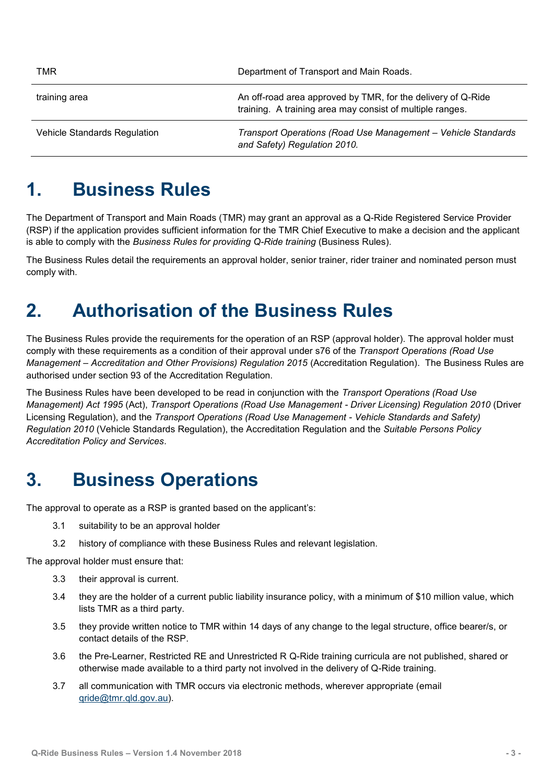| TMR                                 | Department of Transport and Main Roads.                                                                                   |  |
|-------------------------------------|---------------------------------------------------------------------------------------------------------------------------|--|
| training area                       | An off-road area approved by TMR, for the delivery of Q-Ride<br>training. A training area may consist of multiple ranges. |  |
| <b>Vehicle Standards Regulation</b> | Transport Operations (Road Use Management - Vehicle Standards<br>and Safety) Regulation 2010.                             |  |

#### <span id="page-5-0"></span>**1. Business Rules**

The Department of Transport and Main Roads (TMR) may grant an approval as a Q-Ride Registered Service Provider (RSP) if the application provides sufficient information for the TMR Chief Executive to make a decision and the applicant is able to comply with the *Business Rules for providing Q-Ride training* (Business Rules).

The Business Rules detail the requirements an approval holder, senior trainer, rider trainer and nominated person must comply with.

### <span id="page-5-1"></span>**2. Authorisation of the Business Rules**

The Business Rules provide the requirements for the operation of an RSP (approval holder). The approval holder must comply with these requirements as a condition of their approval under s76 of the *Transport Operations (Road Use Management – Accreditation and Other Provisions) Regulation 2015* (Accreditation Regulation). The Business Rules are authorised under section 93 of the Accreditation Regulation.

The Business Rules have been developed to be read in conjunction with the *Transport Operations (Road Use Management) Act 1995* (Act), *Transport Operations (Road Use Management - Driver Licensing) Regulation 2010* (Driver Licensing Regulation), and the *Transport Operations (Road Use Management - Vehicle Standards and Safety) Regulation 2010* (Vehicle Standards Regulation), the Accreditation Regulation and the *Suitable Persons Policy Accreditation Policy and Services*.

#### <span id="page-5-2"></span>**3. Business Operations**

The approval to operate as a RSP is granted based on the applicant's:

- 3.1 suitability to be an approval holder
- 3.2 history of compliance with these Business Rules and relevant legislation.

The approval holder must ensure that:

- 3.3 their approval is current.
- 3.4 they are the holder of a current public liability insurance policy, with a minimum of \$10 million value, which lists TMR as a third party.
- 3.5 they provide written notice to TMR within 14 days of any change to the legal structure, office bearer/s, or contact details of the RSP.
- 3.6 the Pre-Learner, Restricted RE and Unrestricted R Q-Ride training curricula are not published, shared or otherwise made available to a third party not involved in the delivery of Q-Ride training.
- 3.7 all communication with TMR occurs via electronic methods, wherever appropriate (email [qride@tmr.qld.gov.au\)](mailto:qride@tmr.qld.gov.au).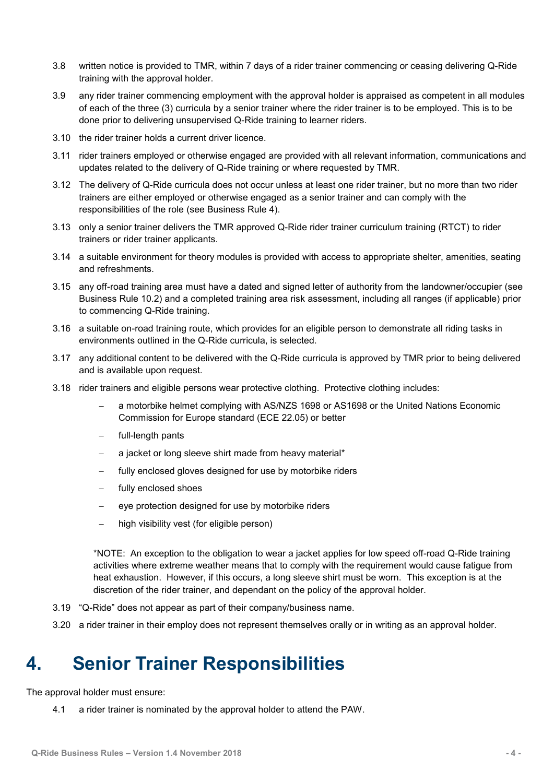- 3.8 written notice is provided to TMR, within 7 days of a rider trainer commencing or ceasing delivering Q-Ride training with the approval holder.
- 3.9 any rider trainer commencing employment with the approval holder is appraised as competent in all modules of each of the three (3) curricula by a senior trainer where the rider trainer is to be employed. This is to be done prior to delivering unsupervised Q-Ride training to learner riders.
- 3.10 the rider trainer holds a current driver licence.
- 3.11 rider trainers employed or otherwise engaged are provided with all relevant information, communications and updates related to the delivery of Q-Ride training or where requested by TMR.
- 3.12 The delivery of Q-Ride curricula does not occur unless at least one rider trainer, but no more than two rider trainers are either employed or otherwise engaged as a senior trainer and can comply with the responsibilities of the role (see Business Rule 4).
- 3.13 only a senior trainer delivers the TMR approved Q-Ride rider trainer curriculum training (RTCT) to rider trainers or rider trainer applicants.
- 3.14 a suitable environment for theory modules is provided with access to appropriate shelter, amenities, seating and refreshments.
- 3.15 any off-road training area must have a dated and signed letter of authority from the landowner/occupier (see Business Rule 10.2) and a completed training area risk assessment, including all ranges (if applicable) prior to commencing Q-Ride training.
- 3.16 a suitable on-road training route, which provides for an eligible person to demonstrate all riding tasks in environments outlined in the Q-Ride curricula, is selected.
- 3.17 any additional content to be delivered with the Q-Ride curricula is approved by TMR prior to being delivered and is available upon request.
- 3.18 rider trainers and eligible persons wear protective clothing. Protective clothing includes:
	- a motorbike helmet complying with AS/NZS 1698 or AS1698 or the United Nations Economic Commission for Europe standard (ECE 22.05) or better
	- full-length pants
	- $-$  a jacket or long sleeve shirt made from heavy material\*
	- fully enclosed gloves designed for use by motorbike riders
	- fully enclosed shoes
	- eve protection designed for use by motorbike riders
	- high visibility vest (for eligible person)

\*NOTE: An exception to the obligation to wear a jacket applies for low speed off-road Q-Ride training activities where extreme weather means that to comply with the requirement would cause fatigue from heat exhaustion. However, if this occurs, a long sleeve shirt must be worn. This exception is at the discretion of the rider trainer, and dependant on the policy of the approval holder.

- 3.19 "Q-Ride" does not appear as part of their company/business name.
- 3.20 a rider trainer in their employ does not represent themselves orally or in writing as an approval holder.

### <span id="page-6-0"></span>**4. Senior Trainer Responsibilities**

The approval holder must ensure:

4.1 a rider trainer is nominated by the approval holder to attend the PAW.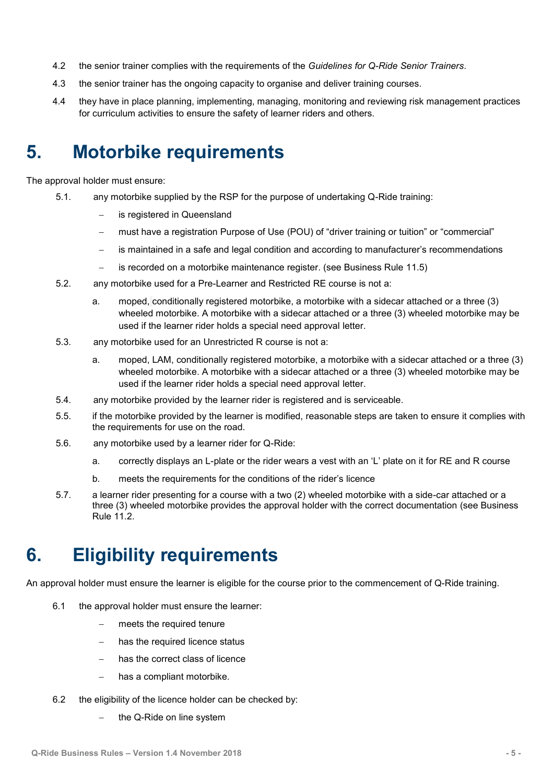- 4.2 the senior trainer complies with the requirements of the *Guidelines for Q-Ride Senior Trainers*.
- 4.3 the senior trainer has the ongoing capacity to organise and deliver training courses.
- 4.4 they have in place planning, implementing, managing, monitoring and reviewing risk management practices for curriculum activities to ensure the safety of learner riders and others.

#### <span id="page-7-0"></span>**5. Motorbike requirements**

The approval holder must ensure:

- 5.1. any motorbike supplied by the RSP for the purpose of undertaking Q-Ride training:
	- is registered in Queensland
	- must have a registration Purpose of Use (POU) of "driver training or tuition" or "commercial"
	- is maintained in a safe and legal condition and according to manufacturer's recommendations
	- is recorded on a motorbike maintenance register. (see Business Rule 11.5)
- 5.2. any motorbike used for a Pre-Learner and Restricted RE course is not a:
	- a. moped, conditionally registered motorbike, a motorbike with a sidecar attached or a three (3) wheeled motorbike. A motorbike with a sidecar attached or a three (3) wheeled motorbike may be used if the learner rider holds a special need approval letter.
- 5.3. any motorbike used for an Unrestricted R course is not a:
	- a. moped, LAM, conditionally registered motorbike, a motorbike with a sidecar attached or a three (3) wheeled motorbike. A motorbike with a sidecar attached or a three (3) wheeled motorbike may be used if the learner rider holds a special need approval letter.
- 5.4. any motorbike provided by the learner rider is registered and is serviceable.
- 5.5. if the motorbike provided by the learner is modified, reasonable steps are taken to ensure it complies with the requirements for use on the road.
- 5.6. any motorbike used by a learner rider for Q-Ride:
	- a. correctly displays an L-plate or the rider wears a vest with an 'L' plate on it for RE and R course
	- b. meets the requirements for the conditions of the rider's licence
- 5.7. a learner rider presenting for a course with a two (2) wheeled motorbike with a side-car attached or a three (3) wheeled motorbike provides the approval holder with the correct documentation (see Business Rule  $11.2$ .

## <span id="page-7-1"></span>**6. Eligibility requirements**

An approval holder must ensure the learner is eligible for the course prior to the commencement of Q-Ride training.

- 6.1 the approval holder must ensure the learner:
	- meets the required tenure
	- has the required licence status
	- has the correct class of licence
	- has a compliant motorbike.
- 6.2 the eligibility of the licence holder can be checked by:
	- the Q-Ride on line system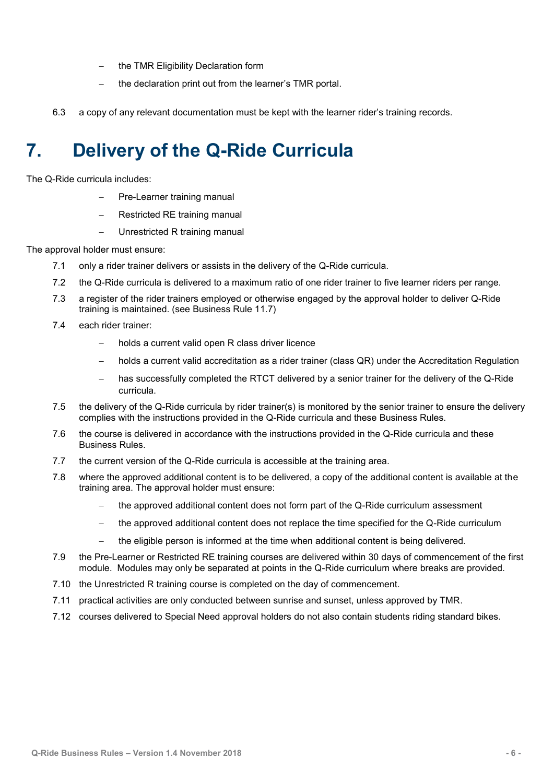- the TMR Eligibility Declaration form
- $-$  the declaration print out from the learner's TMR portal.
- 6.3 a copy of any relevant documentation must be kept with the learner rider's training records.

## <span id="page-8-0"></span>**7. Delivery of the Q-Ride Curricula**

The Q-Ride curricula includes:

- Pre-Learner training manual
- Restricted RE training manual
- Unrestricted R training manual

The approval holder must ensure:

- 7.1 only a rider trainer delivers or assists in the delivery of the Q-Ride curricula.
- 7.2 the Q-Ride curricula is delivered to a maximum ratio of one rider trainer to five learner riders per range.
- 7.3 a register of the rider trainers employed or otherwise engaged by the approval holder to deliver Q-Ride training is maintained. (see Business Rule 11.7)
- 7.4 each rider trainer:
	- holds a current valid open R class driver licence
	- holds a current valid accreditation as a rider trainer (class QR) under the Accreditation Regulation
	- has successfully completed the RTCT delivered by a senior trainer for the delivery of the Q-Ride curricula.
- 7.5 the delivery of the Q-Ride curricula by rider trainer(s) is monitored by the senior trainer to ensure the delivery complies with the instructions provided in the Q-Ride curricula and these Business Rules.
- 7.6 the course is delivered in accordance with the instructions provided in the Q-Ride curricula and these Business Rules.
- 7.7 the current version of the Q-Ride curricula is accessible at the training area.
- 7.8 where the approved additional content is to be delivered, a copy of the additional content is available at the training area. The approval holder must ensure:
	- the approved additional content does not form part of the Q-Ride curriculum assessment
	- the approved additional content does not replace the time specified for the Q-Ride curriculum
	- the eligible person is informed at the time when additional content is being delivered.
- 7.9 the Pre-Learner or Restricted RE training courses are delivered within 30 days of commencement of the first module. Modules may only be separated at points in the Q-Ride curriculum where breaks are provided.
- 7.10 the Unrestricted R training course is completed on the day of commencement.
- 7.11 practical activities are only conducted between sunrise and sunset, unless approved by TMR.
- 7.12 courses delivered to Special Need approval holders do not also contain students riding standard bikes.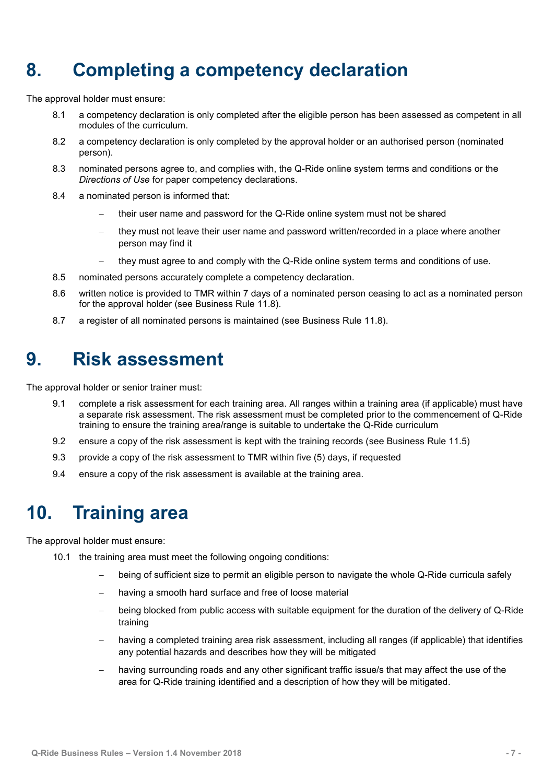## <span id="page-9-0"></span>**8. Completing a competency declaration**

The approval holder must ensure:

- 8.1 a competency declaration is only completed after the eligible person has been assessed as competent in all modules of the curriculum.
- 8.2 a competency declaration is only completed by the approval holder or an authorised person (nominated person).
- 8.3 nominated persons agree to, and complies with, the Q-Ride online system terms and conditions or the *Directions of Use* for paper competency declarations.
- 8.4 a nominated person is informed that:
	- their user name and password for the Q-Ride online system must not be shared
	- they must not leave their user name and password written/recorded in a place where another person may find it
	- they must agree to and comply with the Q-Ride online system terms and conditions of use.
- 8.5 nominated persons accurately complete a competency declaration.
- 8.6 written notice is provided to TMR within 7 days of a nominated person ceasing to act as a nominated person for the approval holder (see Business Rule 11.8).
- 8.7 a register of all nominated persons is maintained (see Business Rule 11.8).

#### <span id="page-9-1"></span>**9. Risk assessment**

The approval holder or senior trainer must:

- 9.1 complete a risk assessment for each training area. All ranges within a training area (if applicable) must have a separate risk assessment. The risk assessment must be completed prior to the commencement of Q-Ride training to ensure the training area/range is suitable to undertake the Q-Ride curriculum
- 9.2 ensure a copy of the risk assessment is kept with the training records (see Business Rule 11.5)
- 9.3 provide a copy of the risk assessment to TMR within five (5) days, if requested
- 9.4 ensure a copy of the risk assessment is available at the training area.

#### <span id="page-9-2"></span>**10. Training area**

The approval holder must ensure:

- 10.1 the training area must meet the following ongoing conditions:
	- being of sufficient size to permit an eligible person to navigate the whole Q-Ride curricula safely
	- having a smooth hard surface and free of loose material
	- being blocked from public access with suitable equipment for the duration of the delivery of Q-Ride training
	- having a completed training area risk assessment, including all ranges (if applicable) that identifies any potential hazards and describes how they will be mitigated
	- having surrounding roads and any other significant traffic issue/s that may affect the use of the area for Q-Ride training identified and a description of how they will be mitigated.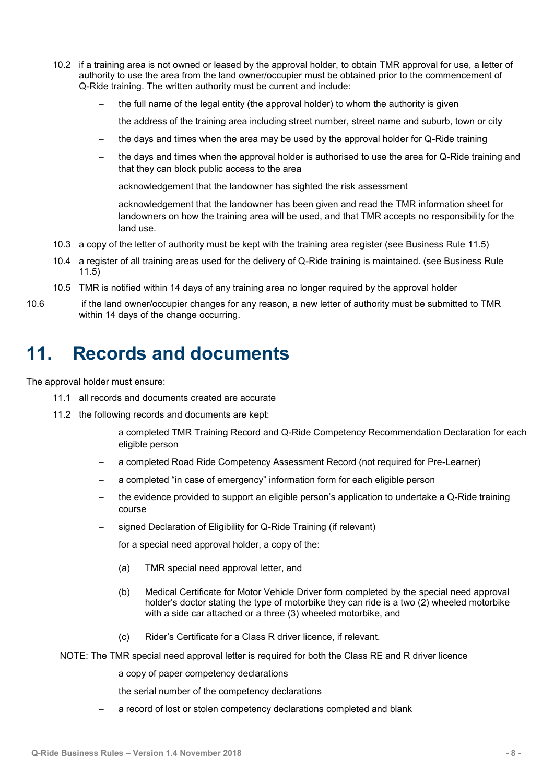- 10.2 if a training area is not owned or leased by the approval holder, to obtain TMR approval for use, a letter of authority to use the area from the land owner/occupier must be obtained prior to the commencement of Q-Ride training. The written authority must be current and include:
	- the full name of the legal entity (the approval holder) to whom the authority is given
	- the address of the training area including street number, street name and suburb, town or city
	- $-$  the days and times when the area may be used by the approval holder for Q-Ride training
	- the days and times when the approval holder is authorised to use the area for Q-Ride training and that they can block public access to the area
	- acknowledgement that the landowner has sighted the risk assessment
	- acknowledgement that the landowner has been given and read the TMR information sheet for landowners on how the training area will be used, and that TMR accepts no responsibility for the land use.
- 10.3 a copy of the letter of authority must be kept with the training area register (see Business Rule 11.5)
- 10.4 a register of all training areas used for the delivery of Q-Ride training is maintained. (see Business Rule 11.5)
- 10.5 TMR is notified within 14 days of any training area no longer required by the approval holder
- 10.6 if the land owner/occupier changes for any reason, a new letter of authority must be submitted to TMR within 14 days of the change occurring.

#### <span id="page-10-0"></span>**11. Records and documents**

The approval holder must ensure:

- 11.1 all records and documents created are accurate
- 11.2 the following records and documents are kept:
	- a completed TMR Training Record and Q-Ride Competency Recommendation Declaration for each eligible person
	- a completed Road Ride Competency Assessment Record (not required for Pre-Learner)
	- a completed "in case of emergency" information form for each eligible person
	- the evidence provided to support an eligible person's application to undertake a Q-Ride training course
	- signed Declaration of Eligibility for Q-Ride Training (if relevant)
	- $\overline{-}$  for a special need approval holder, a copy of the:
		- (a) TMR special need approval letter, and
		- (b) Medical Certificate for Motor Vehicle Driver form completed by the special need approval holder's doctor stating the type of motorbike they can ride is a two (2) wheeled motorbike with a side car attached or a three (3) wheeled motorbike, and
		- (c) Rider's Certificate for a Class R driver licence, if relevant.

NOTE: The TMR special need approval letter is required for both the Class RE and R driver licence

- a copy of paper competency declarations
- the serial number of the competency declarations
- a record of lost or stolen competency declarations completed and blank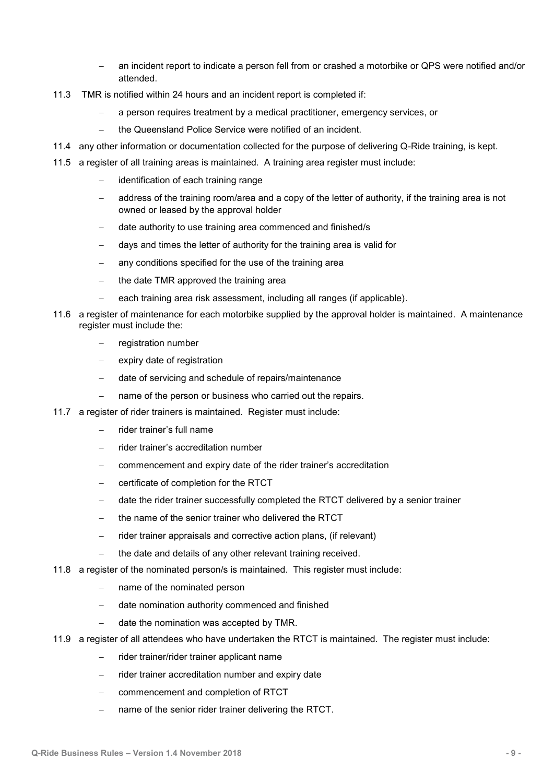- an incident report to indicate a person fell from or crashed a motorbike or QPS were notified and/or attended.
- 11.3 TMR is notified within 24 hours and an incident report is completed if:
	- a person requires treatment by a medical practitioner, emergency services, or
	- the Queensland Police Service were notified of an incident.
- 11.4 any other information or documentation collected for the purpose of delivering Q-Ride training, is kept.
- 11.5 a register of all training areas is maintained. A training area register must include:
	- identification of each training range
	- address of the training room/area and a copy of the letter of authority, if the training area is not owned or leased by the approval holder
	- date authority to use training area commenced and finished/s
	- days and times the letter of authority for the training area is valid for
	- any conditions specified for the use of the training area
	- $-$  the date TMR approved the training area
	- each training area risk assessment, including all ranges (if applicable).
- 11.6 a register of maintenance for each motorbike supplied by the approval holder is maintained. A maintenance register must include the:
	- registration number
	- expiry date of registration
	- date of servicing and schedule of repairs/maintenance
	- name of the person or business who carried out the repairs.
- 11.7 a register of rider trainers is maintained. Register must include:
	- rider trainer's full name
	- rider trainer's accreditation number
	- commencement and expiry date of the rider trainer's accreditation
	- certificate of completion for the RTCT
	- date the rider trainer successfully completed the RTCT delivered by a senior trainer
	- the name of the senior trainer who delivered the RTCT
	- $-$  rider trainer appraisals and corrective action plans, (if relevant)
		- the date and details of any other relevant training received.
- 11.8 a register of the nominated person/s is maintained. This register must include:
	- name of the nominated person
	- date nomination authority commenced and finished
	- $-$  date the nomination was accepted by TMR.
- 11.9 a register of all attendees who have undertaken the RTCT is maintained. The register must include:
	- rider trainer/rider trainer applicant name
	- $-$  rider trainer accreditation number and expiry date
	- commencement and completion of RTCT
	- name of the senior rider trainer delivering the RTCT.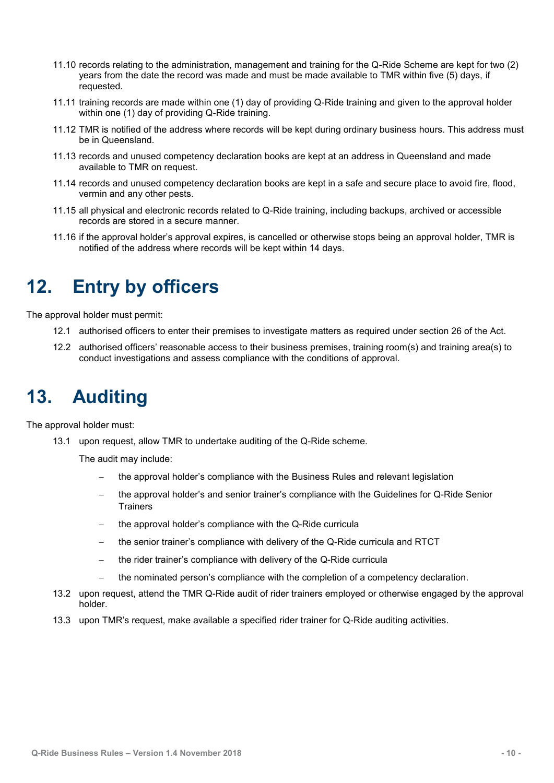- 11.10 records relating to the administration, management and training for the Q-Ride Scheme are kept for two (2) years from the date the record was made and must be made available to TMR within five (5) days, if requested.
- 11.11 training records are made within one (1) day of providing Q-Ride training and given to the approval holder within one (1) day of providing Q-Ride training.
- 11.12 TMR is notified of the address where records will be kept during ordinary business hours. This address must be in Queensland.
- 11.13 records and unused competency declaration books are kept at an address in Queensland and made available to TMR on request.
- 11.14 records and unused competency declaration books are kept in a safe and secure place to avoid fire, flood, vermin and any other pests.
- 11.15 all physical and electronic records related to Q-Ride training, including backups, archived or accessible records are stored in a secure manner.
- 11.16 if the approval holder's approval expires, is cancelled or otherwise stops being an approval holder, TMR is notified of the address where records will be kept within 14 days.

#### <span id="page-12-0"></span>**12. Entry by officers**

The approval holder must permit:

- 12.1 authorised officers to enter their premises to investigate matters as required under section 26 of the Act.
- 12.2 authorised officers' reasonable access to their business premises, training room(s) and training area(s) to conduct investigations and assess compliance with the conditions of approval.

## <span id="page-12-1"></span>**13. Auditing**

The approval holder must:

13.1 upon request, allow TMR to undertake auditing of the Q-Ride scheme.

The audit may include:

- the approval holder's compliance with the Business Rules and relevant legislation
- the approval holder's and senior trainer's compliance with the Guidelines for Q-Ride Senior **Trainers**
- $-$  the approval holder's compliance with the Q-Ride curricula
- the senior trainer's compliance with delivery of the Q-Ride curricula and RTCT
- $-$  the rider trainer's compliance with delivery of the Q-Ride curricula
- the nominated person's compliance with the completion of a competency declaration.
- 13.2 upon request, attend the TMR Q-Ride audit of rider trainers employed or otherwise engaged by the approval holder.
- 13.3 upon TMR's request, make available a specified rider trainer for Q-Ride auditing activities.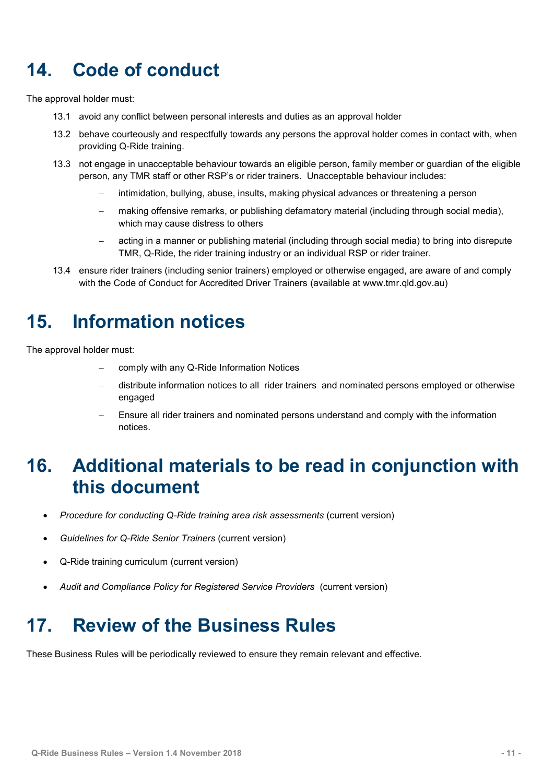## <span id="page-13-0"></span>**14. Code of conduct**

The approval holder must:

- 13.1 avoid any conflict between personal interests and duties as an approval holder
- 13.2 behave courteously and respectfully towards any persons the approval holder comes in contact with, when providing Q-Ride training.
- 13.3 not engage in unacceptable behaviour towards an eligible person, family member or guardian of the eligible person, any TMR staff or other RSP's or rider trainers. Unacceptable behaviour includes:
	- intimidation, bullying, abuse, insults, making physical advances or threatening a person
	- making offensive remarks, or publishing defamatory material (including through social media), which may cause distress to others
	- acting in a manner or publishing material (including through social media) to bring into disrepute TMR, Q-Ride, the rider training industry or an individual RSP or rider trainer.
- 13.4 ensure rider trainers (including senior trainers) employed or otherwise engaged, are aware of and comply with the Code of Conduct for Accredited Driver Trainers (available at www.tmr.gld.gov.au)

## <span id="page-13-1"></span>**15. Information notices**

The approval holder must:

- comply with any Q-Ride Information Notices
- distribute information notices to all rider trainers and nominated persons employed or otherwise engaged
- Ensure all rider trainers and nominated persons understand and comply with the information notices.

#### <span id="page-13-2"></span>**16. Additional materials to be read in conjunction with this document**

- *Procedure for conducting Q-Ride training area risk assessments* (current version)
- *Guidelines for Q-Ride Senior Trainers* (current version)
- Q-Ride training curriculum (current version)
- *Audit and Compliance Policy for Registered Service Providers* (current version)

### <span id="page-13-3"></span>**17. Review of the Business Rules**

These Business Rules will be periodically reviewed to ensure they remain relevant and effective.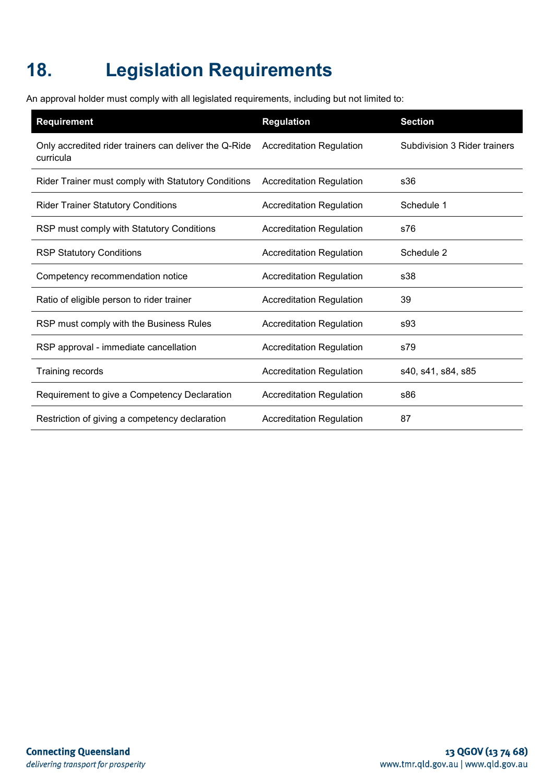## <span id="page-14-0"></span>**18. Legislation Requirements**

An approval holder must comply with all legislated requirements, including but not limited to:

| <b>Requirement</b>                                                 | <b>Regulation</b>               | <b>Section</b>               |
|--------------------------------------------------------------------|---------------------------------|------------------------------|
| Only accredited rider trainers can deliver the Q-Ride<br>curricula | <b>Accreditation Regulation</b> | Subdivision 3 Rider trainers |
| Rider Trainer must comply with Statutory Conditions                | <b>Accreditation Regulation</b> | s36                          |
| <b>Rider Trainer Statutory Conditions</b>                          | <b>Accreditation Regulation</b> | Schedule 1                   |
| RSP must comply with Statutory Conditions                          | <b>Accreditation Regulation</b> | s76                          |
| <b>RSP Statutory Conditions</b>                                    | <b>Accreditation Regulation</b> | Schedule 2                   |
| Competency recommendation notice                                   | <b>Accreditation Regulation</b> | s38                          |
| Ratio of eligible person to rider trainer                          | <b>Accreditation Regulation</b> | 39                           |
| RSP must comply with the Business Rules                            | <b>Accreditation Regulation</b> | s93                          |
| RSP approval - immediate cancellation                              | <b>Accreditation Regulation</b> | s79                          |
| <b>Training records</b>                                            | <b>Accreditation Regulation</b> | s40, s41, s84, s85           |
| Requirement to give a Competency Declaration                       | <b>Accreditation Regulation</b> | s86                          |
| Restriction of giving a competency declaration                     | <b>Accreditation Regulation</b> | 87                           |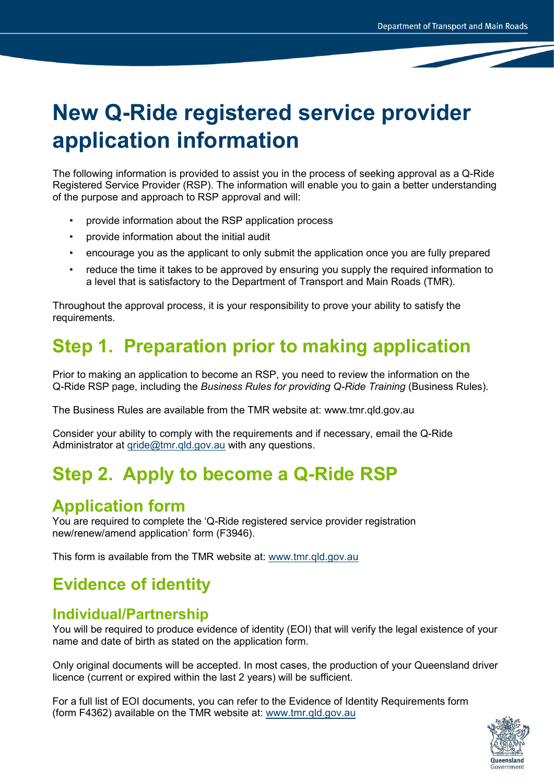# **New Q-Ride registered service provider application information**

The following information is provided to assist you in the process of seeking approval as a Q-Ride Registered Service Provider (RSP). The information will enable you to gain a better understanding of the purpose and approach to RSP approval and will:

- provide information about the RSP application process
- provide information about the initial audit
- encourage you as the applicant to only submit the application once you are fully prepared
- reduce the time it takes to be approved by ensuring you supply the required information to a level that is satisfactory to the Department of Transport and Main Roads (TMR).

Throughout the approval process, it is your responsibility to prove your ability to satisfy the requirements.

## **Step 1. Preparation prior to making application**

Prior to making an application to become an RSP, you need to review the information on the Q-Ride RSP page, including the *Business Rules for providing Q-Ride Training* (Business Rules).

The Business Rules are available from the TMR website at: www.tmr.qld.gov.au

Consider your ability to comply with the requirements and if necessary, email the Q-Ride Administrator at [qride@tmr.qld.gov.au](mailto:qride@tmr.qld.gov.au) with any questions.

### **Step 2. Apply to become a Q-Ride RSP**

#### **Application form**

You are required to complete the 'Q-Ride registered service provider registration new/renew/amend application' form (F3946).

This form is available from the TMR website at: www.tmr.qld.gov.au

#### **Evidence of identity**

#### **Individual/Partnership**

You will be required to produce evidence of identity (EOI) that will verify the legal existence of your name and date of birth as stated on the application form.

Only original documents will be accepted. In most cases, the production of your Queensland driver licence (current or expired within the last 2 years) will be sufficient.

For a full list of EOI documents, you can refer to the Evidence of Identity Requirements form (form F4362) available on the TMR website at: [www.tmr.qld.gov.au](http://www.tmr.qld.gov.au/)

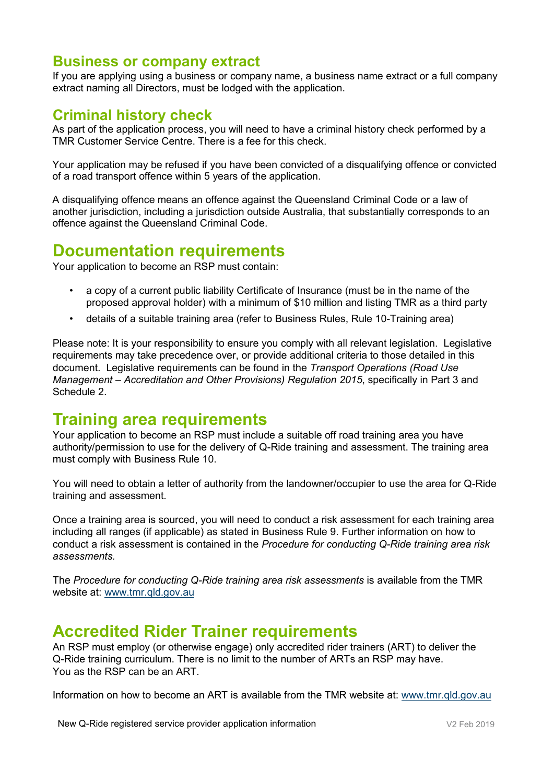#### **Business or company extract**

If you are applying using a business or company name, a business name extract or a full company extract naming all Directors, must be lodged with the application.

#### **Criminal history check**

As part of the application process, you will need to have a criminal history check performed by a TMR Customer Service Centre. There is a fee for this check.

Your application may be refused if you have been convicted of a disqualifying offence or convicted of a road transport offence within 5 years of the application.

A disqualifying offence means an offence against the Queensland Criminal Code or a law of another jurisdiction, including a jurisdiction outside Australia, that substantially corresponds to an offence against the Queensland Criminal Code.

#### **Documentation requirements**

Your application to become an RSP must contain:

- a copy of a current public liability Certificate of Insurance (must be in the name of the proposed approval holder) with a minimum of \$10 million and listing TMR as a third party
- details of a suitable training area (refer to Business Rules, Rule 10-Training area)

Please note: It is your responsibility to ensure you comply with all relevant legislation. Legislative requirements may take precedence over, or provide additional criteria to those detailed in this document. Legislative requirements can be found in the *Transport Operations (Road Use Management – Accreditation and Other Provisions) Regulation 2015*, specifically in Part 3 and Schedule 2.

#### **Training area requirements**

Your application to become an RSP must include a suitable off road training area you have authority/permission to use for the delivery of Q-Ride training and assessment. The training area must comply with Business Rule 10.

You will need to obtain a letter of authority from the landowner/occupier to use the area for Q-Ride training and assessment.

Once a training area is sourced, you will need to conduct a risk assessment for each training area including all ranges (if applicable) as stated in Business Rule 9. Further information on how to conduct a risk assessment is contained in the *Procedure for conducting Q-Ride training area risk assessments.*

The *Procedure for conducting Q-Ride training area risk assessments* is available from the TMR website at: [www.tmr.qld.gov.au](http://www.tmr.qld.gov.au/)

#### **Accredited Rider Trainer requirements**

An RSP must employ (or otherwise engage) only accredited rider trainers (ART) to deliver the Q-Ride training curriculum. There is no limit to the number of ARTs an RSP may have. You as the RSP can be an ART.

Information on how to become an ART is available from the TMR website at: [www.tmr.qld.gov.au](http://www.tmr.qld.gov.au/)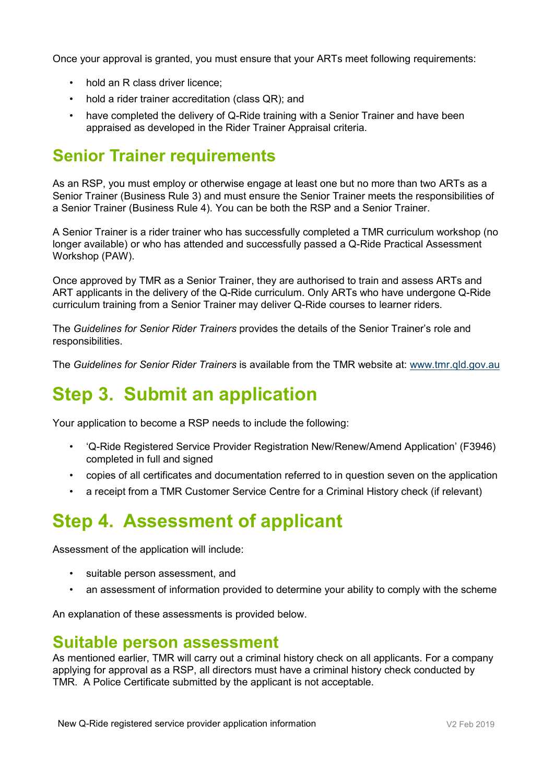Once your approval is granted, you must ensure that your ARTs meet following requirements:

- hold an R class driver licence;
- hold a rider trainer accreditation (class QR); and
- have completed the delivery of Q-Ride training with a Senior Trainer and have been appraised as developed in the Rider Trainer Appraisal criteria.

#### **Senior Trainer requirements**

As an RSP, you must employ or otherwise engage at least one but no more than two ARTs as a Senior Trainer (Business Rule 3) and must ensure the Senior Trainer meets the responsibilities of a Senior Trainer (Business Rule 4). You can be both the RSP and a Senior Trainer.

A Senior Trainer is a rider trainer who has successfully completed a TMR curriculum workshop (no longer available) or who has attended and successfully passed a Q-Ride Practical Assessment Workshop (PAW).

Once approved by TMR as a Senior Trainer, they are authorised to train and assess ARTs and ART applicants in the delivery of the Q-Ride curriculum. Only ARTs who have undergone Q-Ride curriculum training from a Senior Trainer may deliver Q-Ride courses to learner riders.

The *Guidelines for Senior Rider Trainers* provides the details of the Senior Trainer's role and responsibilities.

The *Guidelines for Senior Rider Trainers* is available from the TMR website at: [www.tmr.qld.gov.au](http://www.tmr.qld.gov.au/)

### **Step 3. Submit an application**

Your application to become a RSP needs to include the following:

- 'Q-Ride Registered Service Provider Registration New/Renew/Amend Application' (F3946) completed in full and signed
- copies of all certificates and documentation referred to in question seven on the application
- a receipt from a TMR Customer Service Centre for a Criminal History check (if relevant)

## **Step 4. Assessment of applicant**

Assessment of the application will include:

- suitable person assessment, and
- an assessment of information provided to determine your ability to comply with the scheme

An explanation of these assessments is provided below.

#### **Suitable person assessment**

As mentioned earlier, TMR will carry out a criminal history check on all applicants. For a company applying for approval as a RSP, all directors must have a criminal history check conducted by TMR. A Police Certificate submitted by the applicant is not acceptable.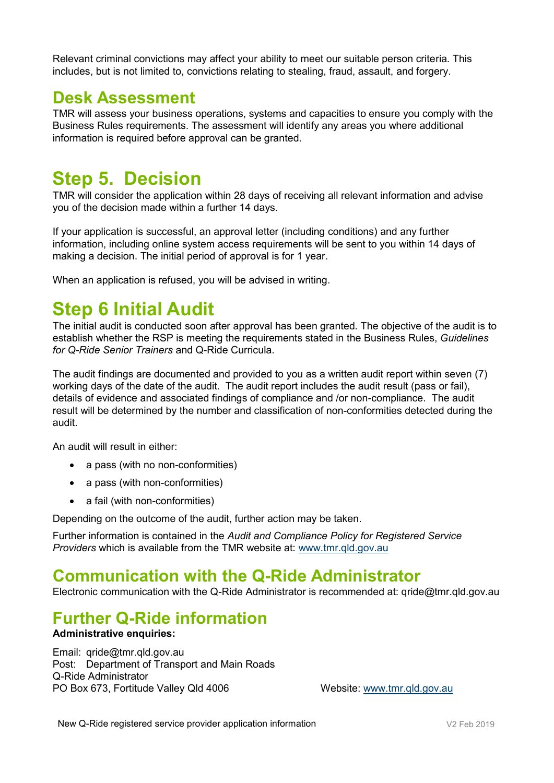Relevant criminal convictions may affect your ability to meet our suitable person criteria. This includes, but is not limited to, convictions relating to stealing, fraud, assault, and forgery.

#### **Desk Assessment**

TMR will assess your business operations, systems and capacities to ensure you comply with the Business Rules requirements. The assessment will identify any areas you where additional information is required before approval can be granted.

#### **Step 5. Decision**

TMR will consider the application within 28 days of receiving all relevant information and advise you of the decision made within a further 14 days.

If your application is successful, an approval letter (including conditions) and any further information, including online system access requirements will be sent to you within 14 days of making a decision. The initial period of approval is for 1 year.

When an application is refused, you will be advised in writing.

#### **Step 6 Initial Audit**

The initial audit is conducted soon after approval has been granted. The objective of the audit is to establish whether the RSP is meeting the requirements stated in the Business Rules, *Guidelines for Q-Ride Senior Trainers* and Q-Ride Curricula.

The audit findings are documented and provided to you as a written audit report within seven (7) working days of the date of the audit. The audit report includes the audit result (pass or fail), details of evidence and associated findings of compliance and /or non-compliance. The audit result will be determined by the number and classification of non-conformities detected during the audit.

An audit will result in either:

- a pass (with no non-conformities)
- a pass (with non-conformities)
- a fail (with non-conformities)

Depending on the outcome of the audit, further action may be taken.

Further information is contained in the *Audit and Compliance Policy for Registered Service Providers* which is available from the TMR website at: [www.tmr.qld.gov.au](http://www.tmr.qld.gov.au/)

#### **Communication with the Q-Ride Administrator**

Electronic communication with the Q-Ride Administrator is recommended at: qride@tmr.qld.gov.au

#### **Further Q-Ride information**

#### **Administrative enquiries:**

Email: qride@tmr.qld.gov.au Post: Department of Transport and Main Roads Q-Ride Administrator PO Box 673, Fortitude Valley Qld 4006 Website: [www.tmr.qld.gov.au](http://www.tmr.qld.gov.au/)

New Q-Ride registered service provider application information **V2 Feb 2019** V2 Feb 2019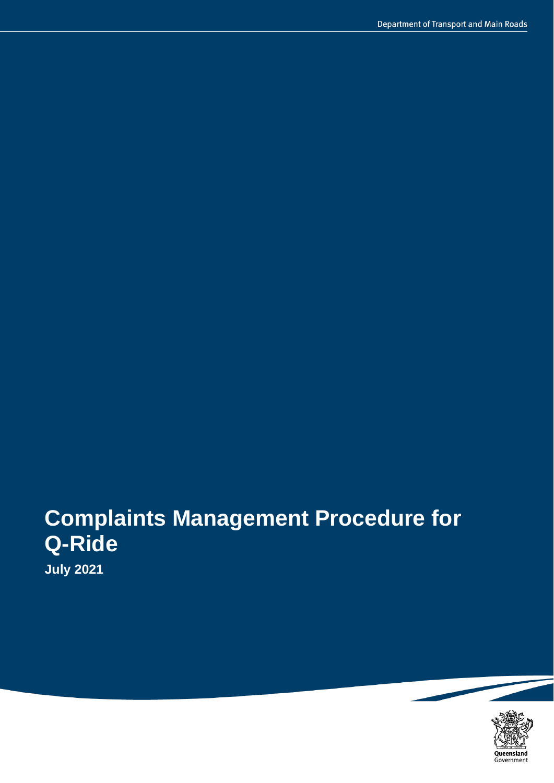# **Complaints Management Procedure for Q-Ride**

**July 2021**

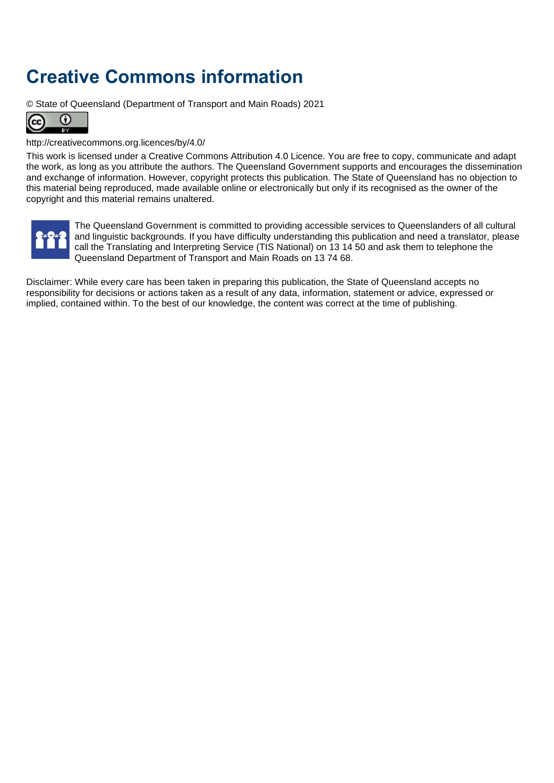## <span id="page-20-0"></span>**Creative Commons information**

© State of Queensland (Department of Transport and Main Roads) 2021



#### <http://creativecommons.org.licences/by/4.0/>

This work is licensed under a Creative Commons Attribution 4.0 Licence. You are free to copy, communicate and adapt the work, as long as you attribute the authors. The Queensland Government supports and encourages the dissemination and exchange of information. However, copyright protects this publication. The State of Queensland has no objection to this material being reproduced, made available online or electronically but only if its recognised as the owner of the copyright and this material remains unaltered.



The Queensland Government is committed to providing accessible services to Queenslanders of all cultural and linguistic backgrounds. If you have difficulty understanding this publication and need a translator, please call the Translating and Interpreting Service (TIS National) on 13 14 50 and ask them to telephone the Queensland Department of Transport and Main Roads on 13 74 68.

Disclaimer: While every care has been taken in preparing this publication, the State of Queensland accepts no responsibility for decisions or actions taken as a result of any data, information, statement or advice, expressed or implied, contained within. To the best of our knowledge, the content was correct at the time of publishing.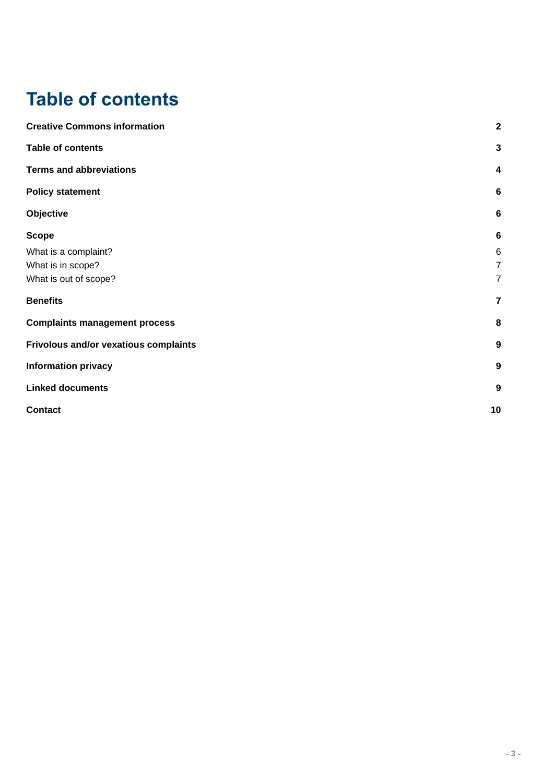## <span id="page-21-0"></span>**Table of contents**

| <b>Creative Commons information</b>   | $\overline{\mathbf{2}}$ |
|---------------------------------------|-------------------------|
| <b>Table of contents</b>              | $\mathbf{3}$            |
| <b>Terms and abbreviations</b>        | $\overline{\mathbf{4}}$ |
| <b>Policy statement</b>               | $6\phantom{1}6$         |
| Objective                             | $6\phantom{1}6$         |
| <b>Scope</b>                          | $6\phantom{1}6$         |
| What is a complaint?                  | 6                       |
| What is in scope?                     | $\overline{7}$          |
| What is out of scope?                 | $\overline{7}$          |
| <b>Benefits</b>                       | $\overline{\mathbf{r}}$ |
| <b>Complaints management process</b>  | 8                       |
| Frivolous and/or vexatious complaints | $\boldsymbol{9}$        |
| <b>Information privacy</b>            | $\boldsymbol{9}$        |
| <b>Linked documents</b>               | $\boldsymbol{9}$        |
| <b>Contact</b>                        | 10                      |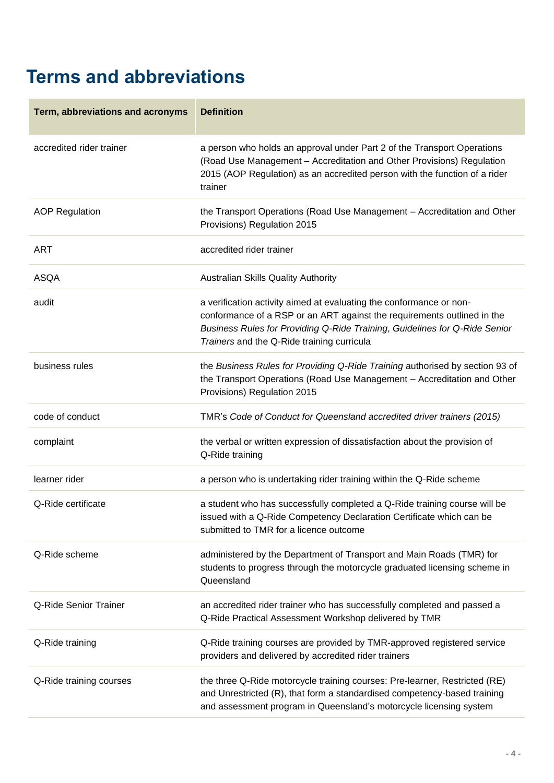## <span id="page-22-0"></span>**Terms and abbreviations**

| Term, abbreviations and acronyms | <b>Definition</b>                                                                                                                                                                                                                                                          |
|----------------------------------|----------------------------------------------------------------------------------------------------------------------------------------------------------------------------------------------------------------------------------------------------------------------------|
| accredited rider trainer         | a person who holds an approval under Part 2 of the Transport Operations<br>(Road Use Management - Accreditation and Other Provisions) Regulation<br>2015 (AOP Regulation) as an accredited person with the function of a rider<br>trainer                                  |
| <b>AOP Regulation</b>            | the Transport Operations (Road Use Management - Accreditation and Other<br>Provisions) Regulation 2015                                                                                                                                                                     |
| <b>ART</b>                       | accredited rider trainer                                                                                                                                                                                                                                                   |
| <b>ASQA</b>                      | Australian Skills Quality Authority                                                                                                                                                                                                                                        |
| audit                            | a verification activity aimed at evaluating the conformance or non-<br>conformance of a RSP or an ART against the requirements outlined in the<br>Business Rules for Providing Q-Ride Training, Guidelines for Q-Ride Senior<br>Trainers and the Q-Ride training curricula |
| business rules                   | the Business Rules for Providing Q-Ride Training authorised by section 93 of<br>the Transport Operations (Road Use Management - Accreditation and Other<br>Provisions) Regulation 2015                                                                                     |
| code of conduct                  | TMR's Code of Conduct for Queensland accredited driver trainers (2015)                                                                                                                                                                                                     |
| complaint                        | the verbal or written expression of dissatisfaction about the provision of<br>Q-Ride training                                                                                                                                                                              |
| learner rider                    | a person who is undertaking rider training within the Q-Ride scheme                                                                                                                                                                                                        |
| Q-Ride certificate               | a student who has successfully completed a Q-Ride training course will be<br>issued with a Q-Ride Competency Declaration Certificate which can be<br>submitted to TMR for a licence outcome                                                                                |
| Q-Ride scheme                    | administered by the Department of Transport and Main Roads (TMR) for<br>students to progress through the motorcycle graduated licensing scheme in<br>Queensland                                                                                                            |
| Q-Ride Senior Trainer            | an accredited rider trainer who has successfully completed and passed a<br>Q-Ride Practical Assessment Workshop delivered by TMR                                                                                                                                           |
| Q-Ride training                  | Q-Ride training courses are provided by TMR-approved registered service<br>providers and delivered by accredited rider trainers                                                                                                                                            |
| Q-Ride training courses          | the three Q-Ride motorcycle training courses: Pre-learner, Restricted (RE)<br>and Unrestricted (R), that form a standardised competency-based training<br>and assessment program in Queensland's motorcycle licensing system                                               |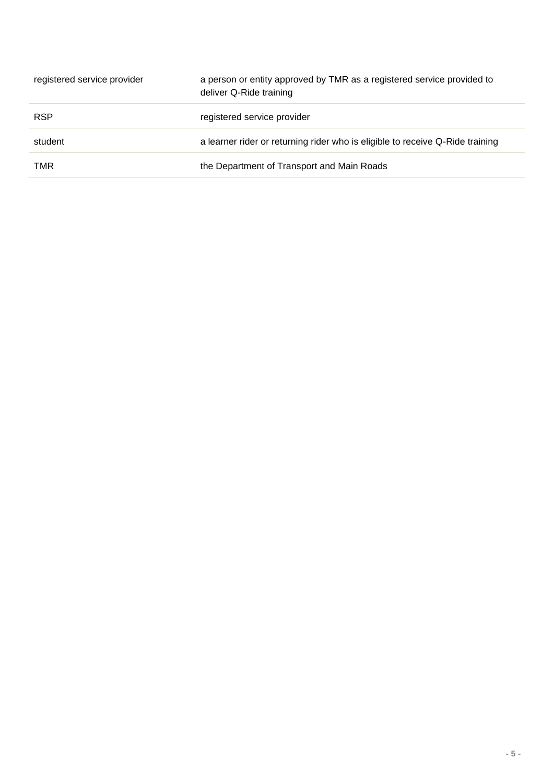| registered service provider | a person or entity approved by TMR as a registered service provided to<br>deliver Q-Ride training |
|-----------------------------|---------------------------------------------------------------------------------------------------|
| <b>RSP</b>                  | registered service provider                                                                       |
| student                     | a learner rider or returning rider who is eligible to receive Q-Ride training                     |
| TMR                         | the Department of Transport and Main Roads                                                        |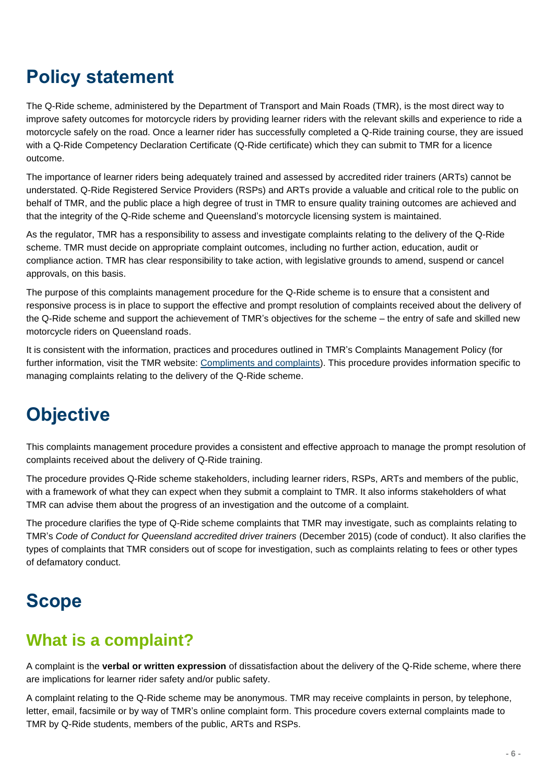## <span id="page-24-0"></span>**Policy statement**

The Q-Ride scheme, administered by the Department of Transport and Main Roads (TMR), is the most direct way to improve safety outcomes for motorcycle riders by providing learner riders with the relevant skills and experience to ride a motorcycle safely on the road. Once a learner rider has successfully completed a Q-Ride training course, they are issued with a Q-Ride Competency Declaration Certificate (Q-Ride certificate) which they can submit to TMR for a licence outcome.

The importance of learner riders being adequately trained and assessed by accredited rider trainers (ARTs) cannot be understated. Q-Ride Registered Service Providers (RSPs) and ARTs provide a valuable and critical role to the public on behalf of TMR, and the public place a high degree of trust in TMR to ensure quality training outcomes are achieved and that the integrity of the Q-Ride scheme and Queensland's motorcycle licensing system is maintained.

As the regulator, TMR has a responsibility to assess and investigate complaints relating to the delivery of the Q-Ride scheme. TMR must decide on appropriate complaint outcomes, including no further action, education, audit or compliance action. TMR has clear responsibility to take action, with legislative grounds to amend, suspend or cancel approvals, on this basis.

The purpose of this complaints management procedure for the Q-Ride scheme is to ensure that a consistent and responsive process is in place to support the effective and prompt resolution of complaints received about the delivery of the Q-Ride scheme and support the achievement of TMR's objectives for the scheme – the entry of safe and skilled new motorcycle riders on Queensland roads.

It is consistent with the information, practices and procedures outlined in TMR's Complaints Management Policy (for further information, visit the TMR website: [Compliments and complaints\)](https://www.tmr.qld.gov.au/About-us/Contact-us/Compliments-and-complaints?utm_source=homepage&utm_medium=footer&utm_campaign=fatfooter). This procedure provides information specific to managing complaints relating to the delivery of the Q-Ride scheme.

## <span id="page-24-1"></span>**Objective**

This complaints management procedure provides a consistent and effective approach to manage the prompt resolution of complaints received about the delivery of Q-Ride training.

The procedure provides Q-Ride scheme stakeholders, including learner riders, RSPs, ARTs and members of the public, with a framework of what they can expect when they submit a complaint to TMR. It also informs stakeholders of what TMR can advise them about the progress of an investigation and the outcome of a complaint.

The procedure clarifies the type of Q-Ride scheme complaints that TMR may investigate, such as complaints relating to TMR's *Code of Conduct for Queensland accredited driver trainers* (December 2015) (code of conduct). It also clarifies the types of complaints that TMR considers out of scope for investigation, such as complaints relating to fees or other types of defamatory conduct.

## <span id="page-24-2"></span>**Scope**

#### <span id="page-24-3"></span>**What is a complaint?**

A complaint is the **verbal or written expression** of dissatisfaction about the delivery of the Q-Ride scheme, where there are implications for learner rider safety and/or public safety.

A complaint relating to the Q-Ride scheme may be anonymous. TMR may receive complaints in person, by telephone, letter, email, facsimile or by way of TMR's online complaint form. This procedure covers external complaints made to TMR by Q-Ride students, members of the public, ARTs and RSPs.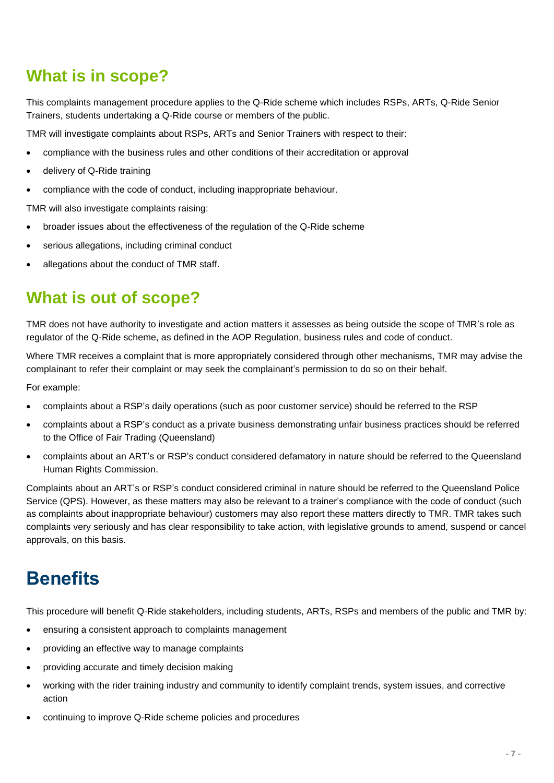#### <span id="page-25-0"></span>**What is in scope?**

This complaints management procedure applies to the Q-Ride scheme which includes RSPs, ARTs, Q-Ride Senior Trainers, students undertaking a Q-Ride course or members of the public.

TMR will investigate complaints about RSPs, ARTs and Senior Trainers with respect to their:

- compliance with the business rules and other conditions of their accreditation or approval
- delivery of Q-Ride training
- compliance with the code of conduct, including inappropriate behaviour.

TMR will also investigate complaints raising:

- broader issues about the effectiveness of the regulation of the Q-Ride scheme
- serious allegations, including criminal conduct
- allegations about the conduct of TMR staff.

#### <span id="page-25-1"></span>**What is out of scope?**

TMR does not have authority to investigate and action matters it assesses as being outside the scope of TMR's role as regulator of the Q-Ride scheme, as defined in the AOP Regulation, business rules and code of conduct.

Where TMR receives a complaint that is more appropriately considered through other mechanisms, TMR may advise the complainant to refer their complaint or may seek the complainant's permission to do so on their behalf.

For example:

- complaints about a RSP's daily operations (such as poor customer service) should be referred to the RSP
- complaints about a RSP's conduct as a private business demonstrating unfair business practices should be referred to the Office of Fair Trading (Queensland)
- complaints about an ART's or RSP's conduct considered defamatory in nature should be referred to the Queensland Human Rights Commission.

Complaints about an ART's or RSP's conduct considered criminal in nature should be referred to the Queensland Police Service (QPS). However, as these matters may also be relevant to a trainer's compliance with the code of conduct (such as complaints about inappropriate behaviour) customers may also report these matters directly to TMR. TMR takes such complaints very seriously and has clear responsibility to take action, with legislative grounds to amend, suspend or cancel approvals, on this basis.

### <span id="page-25-2"></span>**Benefits**

This procedure will benefit Q-Ride stakeholders, including students, ARTs, RSPs and members of the public and TMR by:

- ensuring a consistent approach to complaints management
- providing an effective way to manage complaints
- providing accurate and timely decision making
- working with the rider training industry and community to identify complaint trends, system issues, and corrective action
- continuing to improve Q-Ride scheme policies and procedures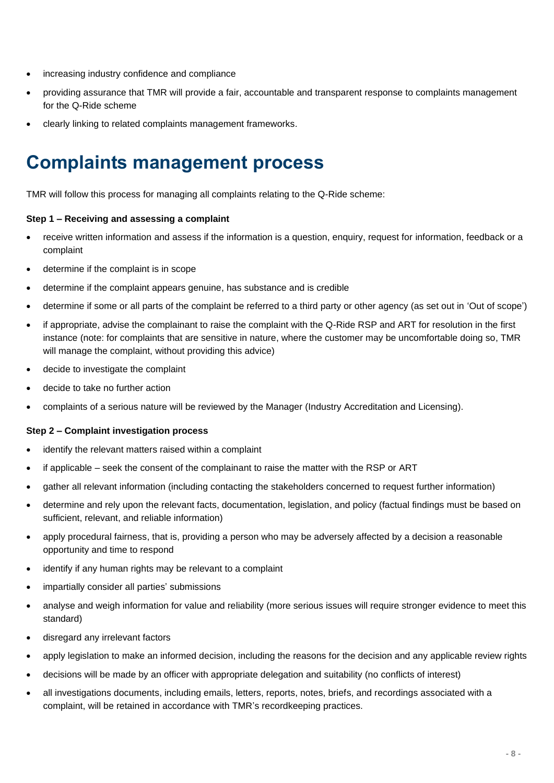- increasing industry confidence and compliance
- providing assurance that TMR will provide a fair, accountable and transparent response to complaints management for the Q-Ride scheme
- <span id="page-26-0"></span>• clearly linking to related complaints management frameworks.

## **Complaints management process**

TMR will follow this process for managing all complaints relating to the Q-Ride scheme:

#### **Step 1 – Receiving and assessing a complaint**

- receive written information and assess if the information is a question, enquiry, request for information, feedback or a complaint
- determine if the complaint is in scope
- determine if the complaint appears genuine, has substance and is credible
- determine if some or all parts of the complaint be referred to a third party or other agency (as set out in 'Out of scope')
- if appropriate, advise the complainant to raise the complaint with the Q-Ride RSP and ART for resolution in the first instance (note: for complaints that are sensitive in nature, where the customer may be uncomfortable doing so, TMR will manage the complaint, without providing this advice)
- decide to investigate the complaint
- decide to take no further action
- complaints of a serious nature will be reviewed by the Manager (Industry Accreditation and Licensing).

#### **Step 2 – Complaint investigation process**

- identify the relevant matters raised within a complaint
- if applicable seek the consent of the complainant to raise the matter with the RSP or ART
- gather all relevant information (including contacting the stakeholders concerned to request further information)
- determine and rely upon the relevant facts, documentation, legislation, and policy (factual findings must be based on sufficient, relevant, and reliable information)
- apply procedural fairness, that is, providing a person who may be adversely affected by a decision a reasonable opportunity and time to respond
- identify if any human rights may be relevant to a complaint
- impartially consider all parties' submissions
- analyse and weigh information for value and reliability (more serious issues will require stronger evidence to meet this standard)
- disregard any irrelevant factors
- apply legislation to make an informed decision, including the reasons for the decision and any applicable review rights
- decisions will be made by an officer with appropriate delegation and suitability (no conflicts of interest)
- all investigations documents, including emails, letters, reports, notes, briefs, and recordings associated with a complaint, will be retained in accordance with TMR's recordkeeping practices.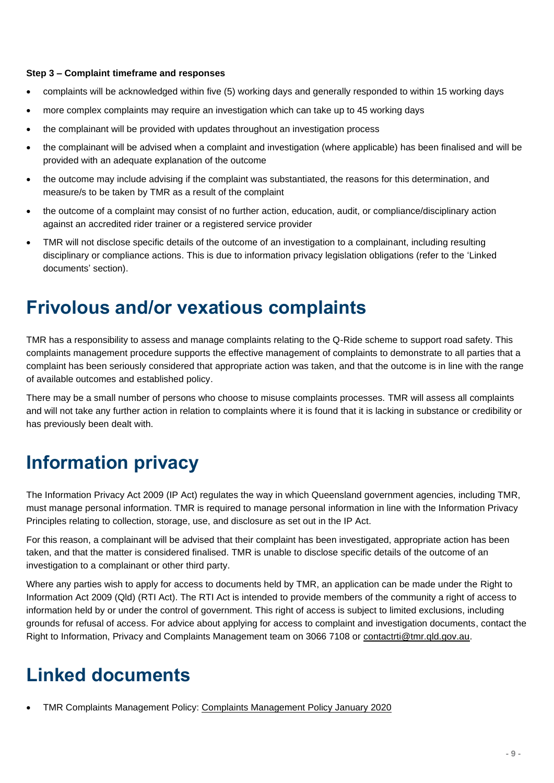#### **Step 3 – Complaint timeframe and responses**

- complaints will be acknowledged within five (5) working days and generally responded to within 15 working days
- more complex complaints may require an investigation which can take up to 45 working days
- the complainant will be provided with updates throughout an investigation process
- the complainant will be advised when a complaint and investigation (where applicable) has been finalised and will be provided with an adequate explanation of the outcome
- the outcome may include advising if the complaint was substantiated, the reasons for this determination, and measure/s to be taken by TMR as a result of the complaint
- the outcome of a complaint may consist of no further action, education, audit, or compliance/disciplinary action against an accredited rider trainer or a registered service provider
- TMR will not disclose specific details of the outcome of an investigation to a complainant, including resulting disciplinary or compliance actions. This is due to information privacy legislation obligations (refer to the 'Linked documents' section).

#### <span id="page-27-0"></span>**Frivolous and/or vexatious complaints**

TMR has a responsibility to assess and manage complaints relating to the Q-Ride scheme to support road safety. This complaints management procedure supports the effective management of complaints to demonstrate to all parties that a complaint has been seriously considered that appropriate action was taken, and that the outcome is in line with the range of available outcomes and established policy.

There may be a small number of persons who choose to misuse complaints processes. TMR will assess all complaints and will not take any further action in relation to complaints where it is found that it is lacking in substance or credibility or has previously been dealt with.

### <span id="page-27-1"></span>**Information privacy**

The Information Privacy Act 2009 (IP Act) regulates the way in which Queensland government agencies, including TMR, must manage personal information. TMR is required to manage personal information in line with the Information Privacy Principles relating to collection, storage, use, and disclosure as set out in the IP Act.

For this reason, a complainant will be advised that their complaint has been investigated, appropriate action has been taken, and that the matter is considered finalised. TMR is unable to disclose specific details of the outcome of an investigation to a complainant or other third party.

Where any parties wish to apply for access to documents held by TMR, an application can be made under the Right to Information Act 2009 (Qld) (RTI Act). The RTI Act is intended to provide members of the community a right of access to information held by or under the control of government. This right of access is subject to limited exclusions, including grounds for refusal of access. For advice about applying for access to complaint and investigation documents, contact the Right to Information, Privacy and Complaints Management team on 3066 7108 or [contactrti@tmr.qld.gov.au.](mailto:contactrti@tmr.qld.gov.au)

### <span id="page-27-2"></span>**Linked documents**

• TMR Complaints Management Policy: [Complaints Management Policy January 2020](https://www.tmr.qld.gov.au/About-us/Contact-us/Compliments-and-complaints)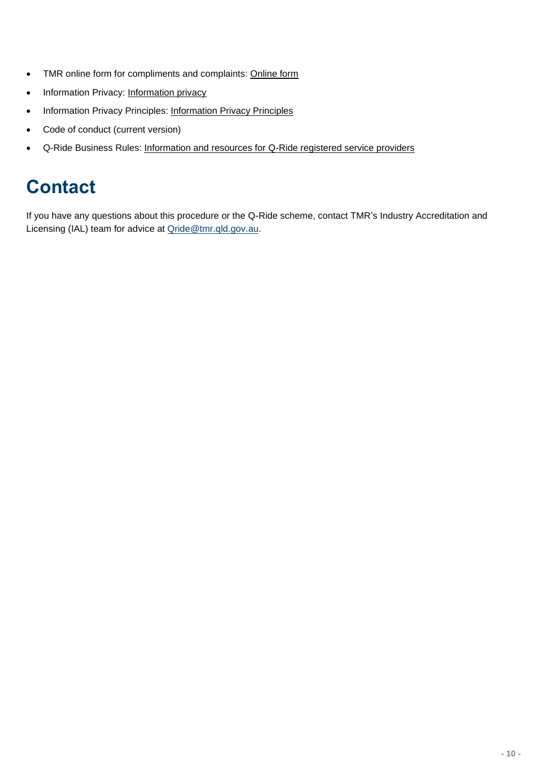- TMR online form for compliments and complaints: [Online form](https://www.tmr.qld.gov.au/Contact-us)
- Information Privacy: [Information privacy](https://www.tmr.qld.gov.au/Help/Privacy)
- • [Information Privacy Principles](https://www.legislation.qld.gov.au/view/html/inforce/current/act-2009-014#sch.3): Information Privacy Principles
- Code of conduct (current version)
- <span id="page-28-0"></span>• Q-Ride Business Rules: [Information and resources for Q-Ride registered service providers](https://www.tmr.qld.gov.au/business-industry/Accreditations/QRide-registered-service-providers)

## **Contact**

If you have any questions about this procedure or the Q-Ride scheme, contact TMR's Industry Accreditation and Licensing (IAL) team for advice at [Qride@tmr.qld.gov.au.](mailto:Qride@tmr.qld.gov.au)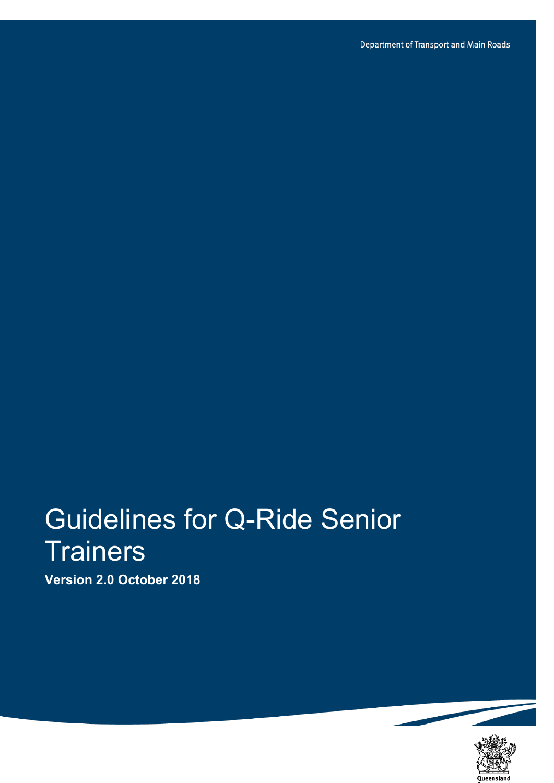# Guidelines for Q-Ride Senior **Trainers**

**Version 2.0 October 2018**

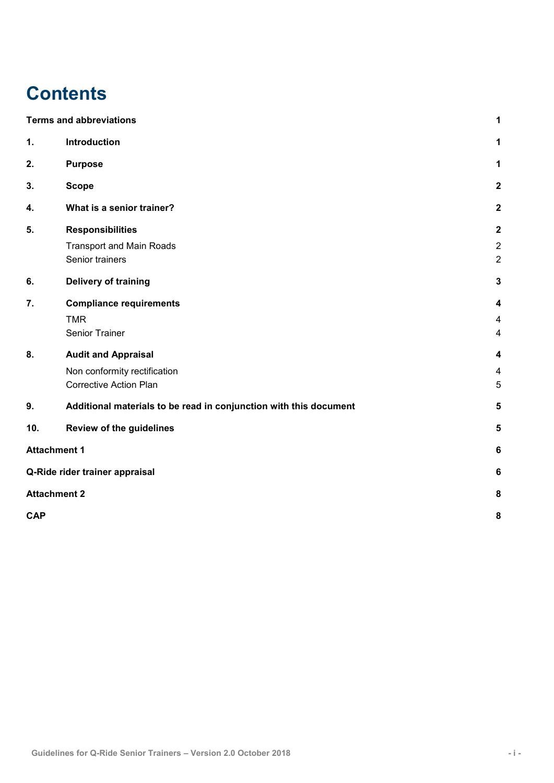## **Contents**

|            | <b>Terms and abbreviations</b>                                    | 1              |
|------------|-------------------------------------------------------------------|----------------|
| 1.         | Introduction                                                      | 1              |
| 2.         | <b>Purpose</b>                                                    | 1              |
| 3.         | <b>Scope</b>                                                      | $\overline{2}$ |
| 4.         | What is a senior trainer?                                         | $\overline{2}$ |
| 5.         | <b>Responsibilities</b>                                           | $\mathbf{2}$   |
|            | <b>Transport and Main Roads</b>                                   | $\overline{c}$ |
|            | Senior trainers                                                   | $\overline{c}$ |
| 6.         | <b>Delivery of training</b>                                       | 3              |
| 7.         | <b>Compliance requirements</b>                                    | 4              |
|            | <b>TMR</b>                                                        | 4              |
|            | Senior Trainer                                                    | 4              |
| 8.         | <b>Audit and Appraisal</b>                                        | 4              |
|            | Non conformity rectification                                      | 4              |
|            | <b>Corrective Action Plan</b>                                     | 5              |
| 9.         | Additional materials to be read in conjunction with this document | 5              |
| 10.        | <b>Review of the guidelines</b>                                   | 5              |
|            | <b>Attachment 1</b>                                               | 6              |
|            | Q-Ride rider trainer appraisal                                    | 6              |
|            | <b>Attachment 2</b>                                               | 8              |
| <b>CAP</b> |                                                                   | 8              |
|            |                                                                   |                |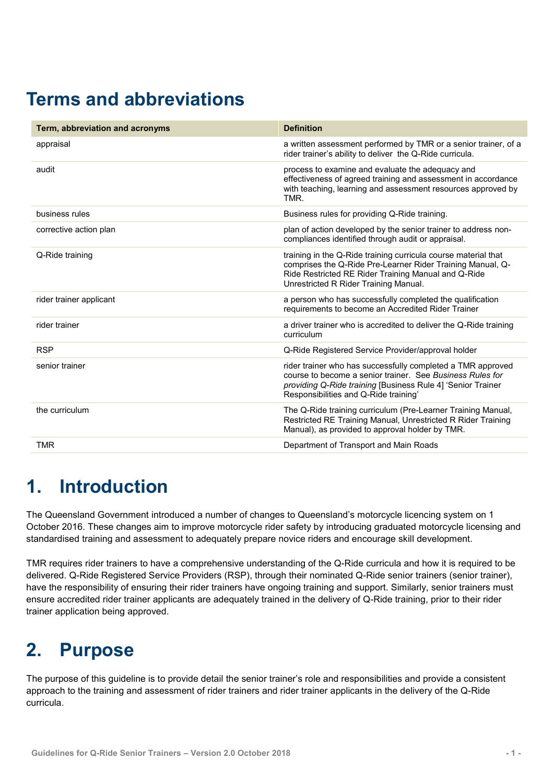## <span id="page-31-0"></span>**Terms and abbreviations**

| Term, abbreviation and acronyms | <b>Definition</b>                                                                                                                                                                                                                |  |
|---------------------------------|----------------------------------------------------------------------------------------------------------------------------------------------------------------------------------------------------------------------------------|--|
| appraisal                       | a written assessment performed by TMR or a senior trainer, of a<br>rider trainer's ability to deliver the Q-Ride curricula.                                                                                                      |  |
| audit                           | process to examine and evaluate the adequacy and<br>effectiveness of agreed training and assessment in accordance<br>with teaching, learning and assessment resources approved by<br>TMR.                                        |  |
| business rules                  | Business rules for providing Q-Ride training.                                                                                                                                                                                    |  |
| corrective action plan          | plan of action developed by the senior trainer to address non-<br>compliances identified through audit or appraisal.                                                                                                             |  |
| Q-Ride training                 | training in the Q-Ride training curricula course material that<br>comprises the Q-Ride Pre-Learner Rider Training Manual, Q-<br>Ride Restricted RE Rider Training Manual and Q-Ride<br>Unrestricted R Rider Training Manual.     |  |
| rider trainer applicant         | a person who has successfully completed the qualification<br>requirements to become an Accredited Rider Trainer                                                                                                                  |  |
| rider trainer                   | a driver trainer who is accredited to deliver the Q-Ride training<br>curriculum                                                                                                                                                  |  |
| <b>RSP</b>                      | Q-Ride Registered Service Provider/approval holder                                                                                                                                                                               |  |
| senior trainer                  | rider trainer who has successfully completed a TMR approved<br>course to become a senior trainer. See Business Rules for<br>providing Q-Ride training [Business Rule 4] 'Senior Trainer<br>Responsibilities and Q-Ride training' |  |
| the curriculum                  | The Q-Ride training curriculum (Pre-Learner Training Manual,<br>Restricted RE Training Manual, Unrestricted R Rider Training<br>Manual), as provided to approval holder by TMR.                                                  |  |
| <b>TMR</b>                      | Department of Transport and Main Roads                                                                                                                                                                                           |  |

## <span id="page-31-1"></span>**1. Introduction**

The Queensland Government introduced a number of changes to Queensland's motorcycle licencing system on 1 October 2016. These changes aim to improve motorcycle rider safety by introducing graduated motorcycle licensing and standardised training and assessment to adequately prepare novice riders and encourage skill development.

TMR requires rider trainers to have a comprehensive understanding of the Q-Ride curricula and how it is required to be delivered. Q-Ride Registered Service Providers (RSP), through their nominated Q-Ride senior trainers (senior trainer), have the responsibility of ensuring their rider trainers have ongoing training and support. Similarly, senior trainers must ensure accredited rider trainer applicants are adequately trained in the delivery of Q-Ride training, prior to their rider trainer application being approved.

## <span id="page-31-2"></span>**2. Purpose**

The purpose of this guideline is to provide detail the senior trainer's role and responsibilities and provide a consistent approach to the training and assessment of rider trainers and rider trainer applicants in the delivery of the Q-Ride curricula.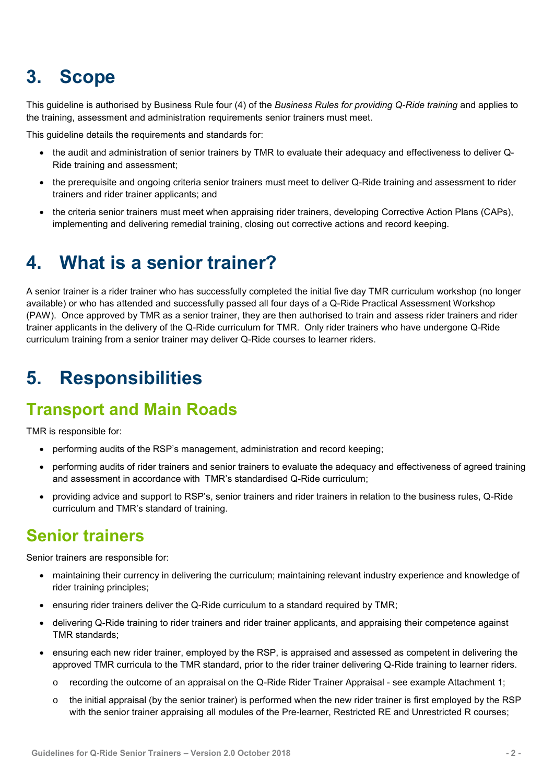## <span id="page-32-0"></span>**3. Scope**

This guideline is authorised by Business Rule four (4) of the *Business Rules for providing Q-Ride training* and applies to the training, assessment and administration requirements senior trainers must meet.

This guideline details the requirements and standards for:

- the audit and administration of senior trainers by TMR to evaluate their adequacy and effectiveness to deliver Q-Ride training and assessment;
- the prerequisite and ongoing criteria senior trainers must meet to deliver Q-Ride training and assessment to rider trainers and rider trainer applicants; and
- the criteria senior trainers must meet when appraising rider trainers, developing Corrective Action Plans (CAPs), implementing and delivering remedial training, closing out corrective actions and record keeping.

## <span id="page-32-1"></span>**4. What is a senior trainer?**

A senior trainer is a rider trainer who has successfully completed the initial five day TMR curriculum workshop (no longer available) or who has attended and successfully passed all four days of a Q-Ride Practical Assessment Workshop (PAW). Once approved by TMR as a senior trainer, they are then authorised to train and assess rider trainers and rider trainer applicants in the delivery of the Q-Ride curriculum for TMR. Only rider trainers who have undergone Q-Ride curriculum training from a senior trainer may deliver Q-Ride courses to learner riders.

## <span id="page-32-2"></span>**5. Responsibilities**

#### <span id="page-32-3"></span>**Transport and Main Roads**

TMR is responsible for:

- performing audits of the RSP's management, administration and record keeping;
- performing audits of rider trainers and senior trainers to evaluate the adequacy and effectiveness of agreed training and assessment in accordance with TMR's standardised Q-Ride curriculum;
- providing advice and support to RSP's, senior trainers and rider trainers in relation to the business rules, Q-Ride curriculum and TMR's standard of training.

#### <span id="page-32-4"></span>**Senior trainers**

Senior trainers are responsible for:

- maintaining their currency in delivering the curriculum; maintaining relevant industry experience and knowledge of rider training principles;
- ensuring rider trainers deliver the Q-Ride curriculum to a standard required by TMR;
- delivering Q-Ride training to rider trainers and rider trainer applicants, and appraising their competence against TMR standards;
- ensuring each new rider trainer, employed by the RSP, is appraised and assessed as competent in delivering the approved TMR curricula to the TMR standard, prior to the rider trainer delivering Q-Ride training to learner riders.
	- o recording the outcome of an appraisal on the Q-Ride Rider Trainer Appraisal see example Attachment 1;
	- $\circ$  the initial appraisal (by the senior trainer) is performed when the new rider trainer is first employed by the RSP with the senior trainer appraising all modules of the Pre-learner, Restricted RE and Unrestricted R courses;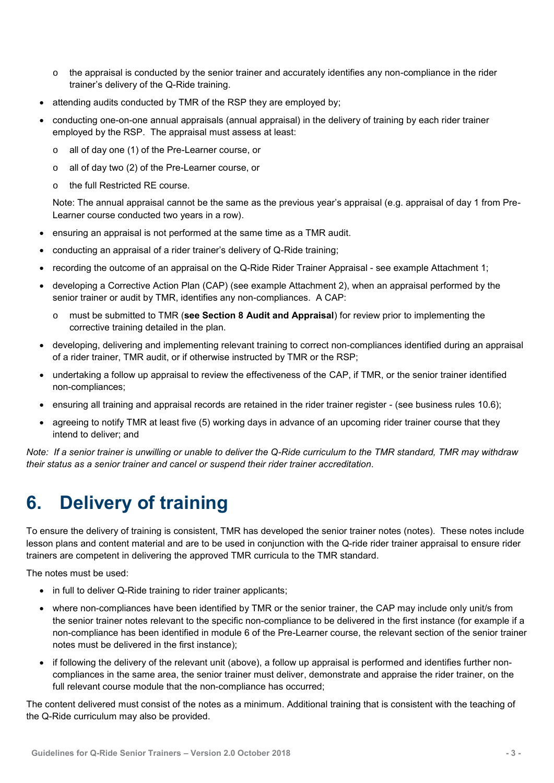- $\circ$  the appraisal is conducted by the senior trainer and accurately identifies any non-compliance in the rider trainer's delivery of the Q-Ride training.
- attending audits conducted by TMR of the RSP they are employed by;
- conducting one-on-one annual appraisals (annual appraisal) in the delivery of training by each rider trainer employed by the RSP. The appraisal must assess at least:
	- o all of day one (1) of the Pre-Learner course, or
	- o all of day two (2) of the Pre-Learner course, or
	- o the full Restricted RE course.

Note: The annual appraisal cannot be the same as the previous year's appraisal (e.g. appraisal of day 1 from Pre-Learner course conducted two years in a row).

- ensuring an appraisal is not performed at the same time as a TMR audit.
- conducting an appraisal of a rider trainer's delivery of Q-Ride training;
- recording the outcome of an appraisal on the Q-Ride Rider Trainer Appraisal see example Attachment 1;
- developing a Corrective Action Plan (CAP) (see example Attachment 2), when an appraisal performed by the senior trainer or audit by TMR, identifies any non-compliances. A CAP:
	- must be submitted to TMR (see Section 8 Audit and Appraisal) for review prior to implementing the corrective training detailed in the plan.
- developing, delivering and implementing relevant training to correct non-compliances identified during an appraisal of a rider trainer, TMR audit, or if otherwise instructed by TMR or the RSP;
- undertaking a follow up appraisal to review the effectiveness of the CAP, if TMR, or the senior trainer identified non-compliances;
- ensuring all training and appraisal records are retained in the rider trainer register (see business rules 10.6);
- agreeing to notify TMR at least five (5) working days in advance of an upcoming rider trainer course that they intend to deliver; and

<span id="page-33-0"></span>*Note: If a senior trainer is unwilling or unable to deliver the Q-Ride curriculum to the TMR standard, TMR may withdraw their status as a senior trainer and cancel or suspend their rider trainer accreditation*.

### **6. Delivery of training**

To ensure the delivery of training is consistent, TMR has developed the senior trainer notes (notes). These notes include lesson plans and content material and are to be used in conjunction with the Q-ride rider trainer appraisal to ensure rider trainers are competent in delivering the approved TMR curricula to the TMR standard.

The notes must be used:

- in full to deliver Q-Ride training to rider trainer applicants;
- where non-compliances have been identified by TMR or the senior trainer, the CAP may include only unit/s from the senior trainer notes relevant to the specific non-compliance to be delivered in the first instance (for example if a non-compliance has been identified in module 6 of the Pre-Learner course, the relevant section of the senior trainer notes must be delivered in the first instance);
- if following the delivery of the relevant unit (above), a follow up appraisal is performed and identifies further noncompliances in the same area, the senior trainer must deliver, demonstrate and appraise the rider trainer, on the full relevant course module that the non-compliance has occurred;

The content delivered must consist of the notes as a minimum. Additional training that is consistent with the teaching of the Q-Ride curriculum may also be provided.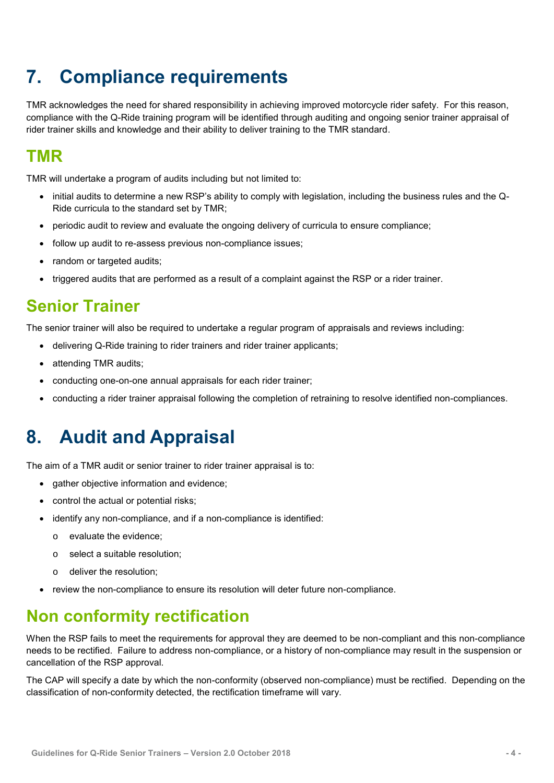## <span id="page-34-0"></span>**7. Compliance requirements**

TMR acknowledges the need for shared responsibility in achieving improved motorcycle rider safety. For this reason, compliance with the Q-Ride training program will be identified through auditing and ongoing senior trainer appraisal of rider trainer skills and knowledge and their ability to deliver training to the TMR standard.

#### <span id="page-34-1"></span>**TMR**

TMR will undertake a program of audits including but not limited to:

- initial audits to determine a new RSP's ability to comply with legislation, including the business rules and the Q-Ride curricula to the standard set by TMR;
- periodic audit to review and evaluate the ongoing delivery of curricula to ensure compliance;
- follow up audit to re-assess previous non-compliance issues;
- random or targeted audits:
- triggered audits that are performed as a result of a complaint against the RSP or a rider trainer.

#### <span id="page-34-2"></span>**Senior Trainer**

The senior trainer will also be required to undertake a regular program of appraisals and reviews including:

- delivering Q-Ride training to rider trainers and rider trainer applicants;
- attending TMR audits;
- conducting one-on-one annual appraisals for each rider trainer;
- <span id="page-34-3"></span>conducting a rider trainer appraisal following the completion of retraining to resolve identified non-compliances.

### **8. Audit and Appraisal**

The aim of a TMR audit or senior trainer to rider trainer appraisal is to:

- gather objective information and evidence;
- control the actual or potential risks;
- identify any non-compliance, and if a non-compliance is identified:
	- o evaluate the evidence;
	- o select a suitable resolution;
	- o deliver the resolution;
- review the non-compliance to ensure its resolution will deter future non-compliance.

#### <span id="page-34-4"></span>**Non conformity rectification**

When the RSP fails to meet the requirements for approval they are deemed to be non-compliant and this non-compliance needs to be rectified. Failure to address non-compliance, or a history of non-compliance may result in the suspension or cancellation of the RSP approval.

The CAP will specify a date by which the non-conformity (observed non-compliance) must be rectified. Depending on the classification of non-conformity detected, the rectification timeframe will vary.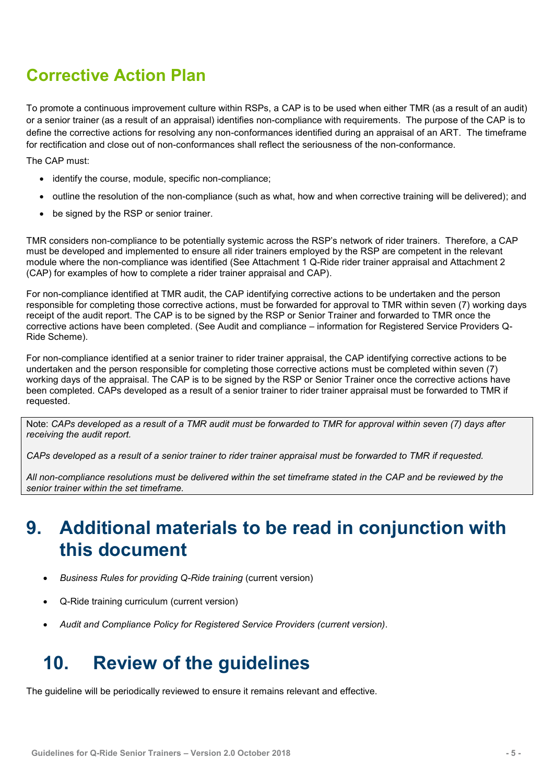#### <span id="page-35-0"></span>**Corrective Action Plan**

To promote a continuous improvement culture within RSPs, a CAP is to be used when either TMR (as a result of an audit) or a senior trainer (as a result of an appraisal) identifies non-compliance with requirements. The purpose of the CAP is to define the corrective actions for resolving any non-conformances identified during an appraisal of an ART. The timeframe for rectification and close out of non-conformances shall reflect the seriousness of the non-conformance.

The CAP must:

- identify the course, module, specific non-compliance;
- outline the resolution of the non-compliance (such as what, how and when corrective training will be delivered); and
- be signed by the RSP or senior trainer.

TMR considers non-compliance to be potentially systemic across the RSP's network of rider trainers. Therefore, a CAP must be developed and implemented to ensure all rider trainers employed by the RSP are competent in the relevant module where the non-compliance was identified (See Attachment 1 Q-Ride rider trainer appraisal and Attachment 2 (CAP) for examples of how to complete a rider trainer appraisal and CAP).

For non-compliance identified at TMR audit, the CAP identifying corrective actions to be undertaken and the person responsible for completing those corrective actions, must be forwarded for approval to TMR within seven (7) working days receipt of the audit report. The CAP is to be signed by the RSP or Senior Trainer and forwarded to TMR once the corrective actions have been completed. (See Audit and compliance – information for Registered Service Providers Q-Ride Scheme).

For non-compliance identified at a senior trainer to rider trainer appraisal, the CAP identifying corrective actions to be undertaken and the person responsible for completing those corrective actions must be completed within seven (7) working days of the appraisal. The CAP is to be signed by the RSP or Senior Trainer once the corrective actions have been completed. CAPs developed as a result of a senior trainer to rider trainer appraisal must be forwarded to TMR if requested.

Note: *CAPs developed as a result of a TMR audit must be forwarded to TMR for approval within seven (7) days after receiving the audit report.* 

*CAPs developed as a result of a senior trainer to rider trainer appraisal must be forwarded to TMR if requested.* 

*All non-compliance resolutions must be delivered within the set timeframe stated in the CAP and be reviewed by the senior trainer within the set timeframe.*

#### <span id="page-35-1"></span>**9. Additional materials to be read in conjunction with this document**

- *Business Rules for providing Q-Ride training* (current version)
- Q-Ride training curriculum (current version)
- *Audit and Compliance Policy for Registered Service Providers (current version)*.

### <span id="page-35-2"></span>**10. Review of the guidelines**

The guideline will be periodically reviewed to ensure it remains relevant and effective.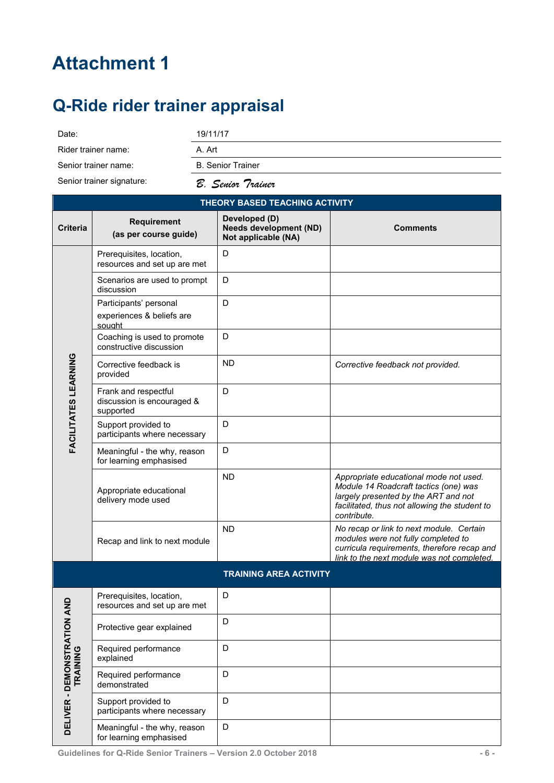## <span id="page-36-0"></span>**Attachment 1**

## <span id="page-36-1"></span>**Q-Ride rider trainer appraisal**

| Date:                                 |                                                               | 19/11/17                 |                                                                       |                                  |
|---------------------------------------|---------------------------------------------------------------|--------------------------|-----------------------------------------------------------------------|----------------------------------|
| Rider trainer name:                   |                                                               | A. Art                   |                                                                       |                                  |
| Senior trainer name:                  |                                                               | <b>B.</b> Senior Trainer |                                                                       |                                  |
| Senior trainer signature:             |                                                               |                          | B. Senior Trainer                                                     |                                  |
| <b>THEORY BASED TEACHING ACTIVITY</b> |                                                               |                          |                                                                       |                                  |
| <b>Criteria</b>                       | <b>Requirement</b><br>(as per course guide)                   |                          | Developed (D)<br><b>Needs development (ND)</b><br>Not applicable (NA) | <b>Comments</b>                  |
|                                       | Prerequisites, location,<br>resources and set up are met      |                          | D                                                                     |                                  |
|                                       | Scenarios are used to prompt<br>discussion                    |                          | D                                                                     |                                  |
|                                       | Participants' personal<br>experiences & beliefs are<br>sought |                          | D                                                                     |                                  |
|                                       | Coaching is used to promote<br>constructive discussion        |                          | D                                                                     |                                  |
| ပ္<br>Z                               | Corrective feedback is                                        |                          | <b>ND</b>                                                             | Corrective feedback not provided |

|                             | Corrective feedback is<br>provided                              | <b>ND</b>                     | Corrective feedback not provided.                                                                                                                                                       |
|-----------------------------|-----------------------------------------------------------------|-------------------------------|-----------------------------------------------------------------------------------------------------------------------------------------------------------------------------------------|
| FACILITATES LEARNING        | Frank and respectful<br>discussion is encouraged &<br>supported | D                             |                                                                                                                                                                                         |
|                             | Support provided to<br>participants where necessary             | D                             |                                                                                                                                                                                         |
|                             | Meaningful - the why, reason<br>for learning emphasised         | D                             |                                                                                                                                                                                         |
|                             | Appropriate educational<br>delivery mode used                   | <b>ND</b>                     | Appropriate educational mode not used.<br>Module 14 Roadcraft tactics (one) was<br>largely presented by the ART and not<br>facilitated, thus not allowing the student to<br>contribute. |
|                             | Recap and link to next module                                   | <b>ND</b>                     | No recap or link to next module. Certain<br>modules were not fully completed to<br>curricula requirements, therefore recap and<br>link to the next module was not completed.            |
|                             |                                                                 | <b>TRAINING AREA ACTIVITY</b> |                                                                                                                                                                                         |
|                             | Prerequisites, location,<br>resources and set up are met        | D                             |                                                                                                                                                                                         |
|                             | Protective gear explained                                       | D                             |                                                                                                                                                                                         |
| TRAINING                    | Required performance<br>explained                               | D                             |                                                                                                                                                                                         |
|                             | Required performance<br>demonstrated                            | D                             |                                                                                                                                                                                         |
| DELIVER - DEMONSTRATION AND | Support provided to<br>participants where necessary             | D                             |                                                                                                                                                                                         |
|                             | Meaningful - the why, reason                                    | D                             |                                                                                                                                                                                         |

Meaningful - the why, reason for learning emphasised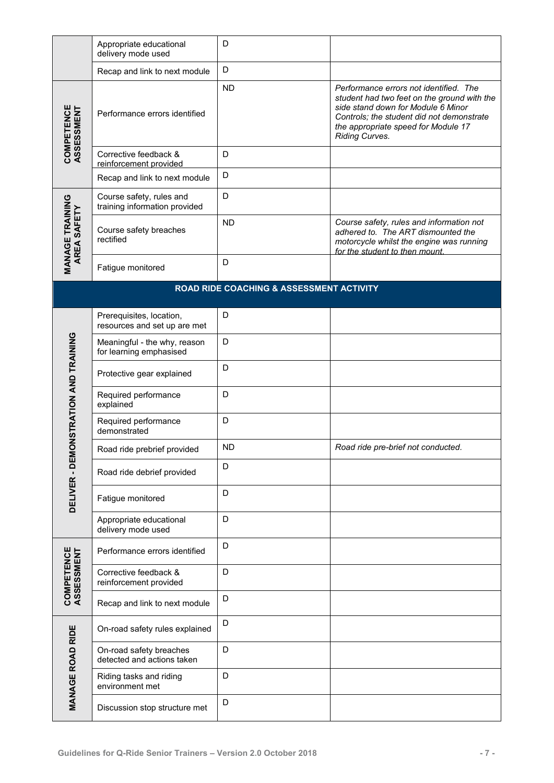|                                       | Appropriate educational<br>delivery mode used             | D         |                                                                                                                                                                                                                                   |  |  |
|---------------------------------------|-----------------------------------------------------------|-----------|-----------------------------------------------------------------------------------------------------------------------------------------------------------------------------------------------------------------------------------|--|--|
|                                       | Recap and link to next module                             | D         |                                                                                                                                                                                                                                   |  |  |
| COMPETENCE<br>ASSESSMENT              | Performance errors identified                             | <b>ND</b> | Performance errors not identified. The<br>student had two feet on the ground with the<br>side stand down for Module 6 Minor<br>Controls; the student did not demonstrate<br>the appropriate speed for Module 17<br>Riding Curves. |  |  |
|                                       | Corrective feedback &<br>reinforcement provided           | D         |                                                                                                                                                                                                                                   |  |  |
|                                       | Recap and link to next module                             | D         |                                                                                                                                                                                                                                   |  |  |
|                                       | Course safety, rules and<br>training information provided | D         |                                                                                                                                                                                                                                   |  |  |
| <b>MANAGE TRAINING</b><br>AREA SAFETY | Course safety breaches<br>rectified                       | <b>ND</b> | Course safety, rules and information not<br>adhered to. The ART dismounted the<br>motorcycle whilst the engine was running<br>for the student to then mount.                                                                      |  |  |
|                                       | Fatigue monitored                                         | D         |                                                                                                                                                                                                                                   |  |  |
|                                       | ROAD RIDE COACHING & ASSESSMENT ACTIVITY                  |           |                                                                                                                                                                                                                                   |  |  |
|                                       | Prerequisites, location,<br>resources and set up are met  | D         |                                                                                                                                                                                                                                   |  |  |
| DELIVER - DEMONSTRATION AND TRAINING  | Meaningful - the why, reason<br>for learning emphasised   | D         |                                                                                                                                                                                                                                   |  |  |
|                                       | Protective gear explained                                 | D         |                                                                                                                                                                                                                                   |  |  |
|                                       | Required performance<br>explained                         | D         |                                                                                                                                                                                                                                   |  |  |
|                                       | Required performance<br>demonstrated                      | D         |                                                                                                                                                                                                                                   |  |  |
|                                       | Road ride prebrief provided                               | <b>ND</b> | Road ride pre-brief not conducted.                                                                                                                                                                                                |  |  |
|                                       | Road ride debrief provided                                | D         |                                                                                                                                                                                                                                   |  |  |
|                                       | Fatigue monitored                                         | D         |                                                                                                                                                                                                                                   |  |  |
|                                       | Appropriate educational<br>delivery mode used             | D         |                                                                                                                                                                                                                                   |  |  |
| <b>COMPETENCE</b><br>ASSESSMENT       | Performance errors identified                             | D         |                                                                                                                                                                                                                                   |  |  |
|                                       | Corrective feedback &<br>reinforcement provided           | D         |                                                                                                                                                                                                                                   |  |  |
|                                       | Recap and link to next module                             | D         |                                                                                                                                                                                                                                   |  |  |
|                                       | On-road safety rules explained                            | D         |                                                                                                                                                                                                                                   |  |  |
| <b>MANAGE ROAD RIDE</b>               | On-road safety breaches<br>detected and actions taken     | D         |                                                                                                                                                                                                                                   |  |  |
|                                       | Riding tasks and riding<br>environment met                | D         |                                                                                                                                                                                                                                   |  |  |
|                                       | Discussion stop structure met                             | D         |                                                                                                                                                                                                                                   |  |  |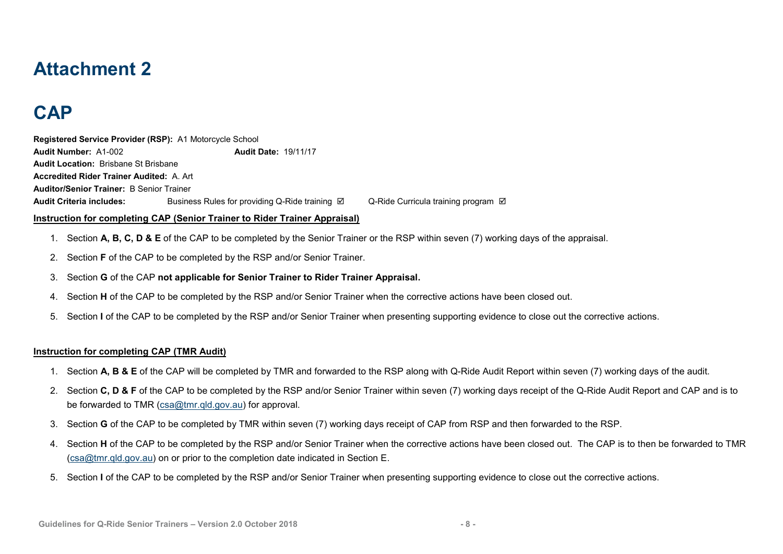#### **Attachment 2**

## **CAP**

**Registered Service Provider (RSP):** A1 Motorcycle School **Audit Number:** A1-002 **Audit Date:** 19/11/17 **Audit Location:** Brisbane St Brisbane **Accredited Rider Trainer Audited:** A. Art **Auditor/Senior Trainer:** B Senior Trainer **Audit Criteria includes:** Business Rules for providing Q-Ride training **I Q-Ride Curricula training program I** 

#### **Instruction for completing CAP (Senior Trainer to Rider Trainer Appraisal)**

- 1. Section **A, B, C, D & E** of the CAP to be completed by the Senior Trainer or the RSP within seven (7) working days of the appraisal.
- 2. Section **F** of the CAP to be completed by the RSP and/or Senior Trainer.
- 3. Section **G** of the CAP **not applicable for Senior Trainer to Rider Trainer Appraisal.**
- <span id="page-38-0"></span>4. Section **H** of the CAP to be completed by the RSP and/or Senior Trainer when the corrective actions have been closed out.
- <span id="page-38-1"></span>5. Section **I** of the CAP to be completed by the RSP and/or Senior Trainer when presenting supporting evidence to close out the corrective actions.

#### **Instruction for completing CAP (TMR Audit)**

- 1. Section **A, B & E** of the CAP will be completed by TMR and forwarded to the RSP along with Q-Ride Audit Report within seven (7) working days of the audit.
- 2. Section **C, D & F** of the CAP to be completed by the RSP and/or Senior Trainer within seven (7) working days receipt of the Q-Ride Audit Report and CAP and is to be forwarded to TMR [\(csa@tmr.qld.gov.au\)](mailto:csa@tmr.qld.gov.au) for approval.
- 3. Section **G** of the CAP to be completed by TMR within seven (7) working days receipt of CAP from RSP and then forwarded to the RSP.
- 4. Section **H** of the CAP to be completed by the RSP and/or Senior Trainer when the corrective actions have been closed out. The CAP is to then be forwarded to TMR [\(csa@tmr.qld.gov.au\)](mailto:csa@tmr.qld.gov.au) on or prior to the completion date indicated in Section E.
- 5. Section **I** of the CAP to be completed by the RSP and/or Senior Trainer when presenting supporting evidence to close out the corrective actions.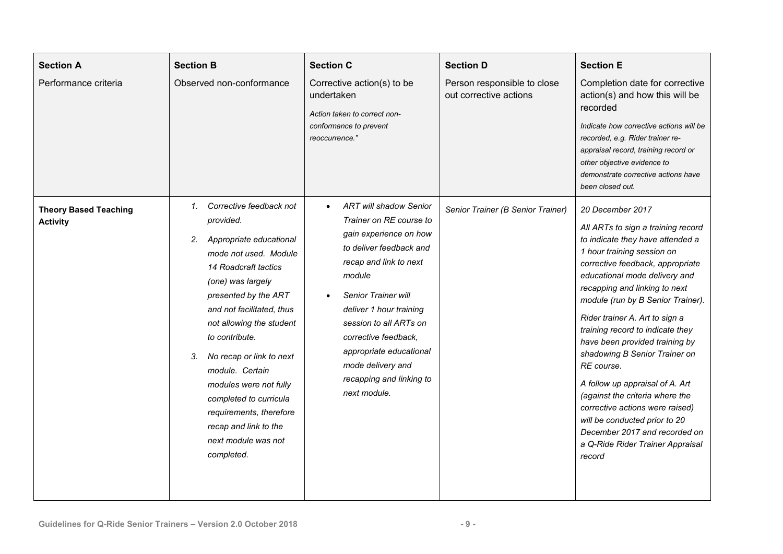| <b>Section A</b><br>Performance criteria        | <b>Section B</b><br>Observed non-conformance                                                                                                                                                                                                                                                                                                                                                                                                        | <b>Section C</b><br>Corrective action(s) to be<br>undertaken<br>Action taken to correct non-<br>conformance to prevent<br>reoccurrence."                                                                                                                                                                                                                       | <b>Section D</b><br>Person responsible to close<br>out corrective actions | <b>Section E</b><br>Completion date for corrective<br>action(s) and how this will be<br>recorded<br>Indicate how corrective actions will be<br>recorded, e.g. Rider trainer re-<br>appraisal record, training record or<br>other objective evidence to<br>demonstrate corrective actions have<br>been closed out.                                                                                                                                                                                                                                                                                                                                   |
|-------------------------------------------------|-----------------------------------------------------------------------------------------------------------------------------------------------------------------------------------------------------------------------------------------------------------------------------------------------------------------------------------------------------------------------------------------------------------------------------------------------------|----------------------------------------------------------------------------------------------------------------------------------------------------------------------------------------------------------------------------------------------------------------------------------------------------------------------------------------------------------------|---------------------------------------------------------------------------|-----------------------------------------------------------------------------------------------------------------------------------------------------------------------------------------------------------------------------------------------------------------------------------------------------------------------------------------------------------------------------------------------------------------------------------------------------------------------------------------------------------------------------------------------------------------------------------------------------------------------------------------------------|
| <b>Theory Based Teaching</b><br><b>Activity</b> | 1. Corrective feedback not<br>provided.<br>Appropriate educational<br>2.<br>mode not used. Module<br>14 Roadcraft tactics<br>(one) was largely<br>presented by the ART<br>and not facilitated, thus<br>not allowing the student<br>to contribute.<br>3.<br>No recap or link to next<br>module. Certain<br>modules were not fully<br>completed to curricula<br>requirements, therefore<br>recap and link to the<br>next module was not<br>completed. | <b>ART will shadow Senior</b><br>$\bullet$<br>Trainer on RE course to<br>gain experience on how<br>to deliver feedback and<br>recap and link to next<br>module<br>Senior Trainer will<br>deliver 1 hour training<br>session to all ARTs on<br>corrective feedback,<br>appropriate educational<br>mode delivery and<br>recapping and linking to<br>next module. | Senior Trainer (B Senior Trainer)                                         | 20 December 2017<br>All ARTs to sign a training record<br>to indicate they have attended a<br>1 hour training session on<br>corrective feedback, appropriate<br>educational mode delivery and<br>recapping and linking to next<br>module (run by B Senior Trainer).<br>Rider trainer A. Art to sign a<br>training record to indicate they<br>have been provided training by<br>shadowing B Senior Trainer on<br>RE course.<br>A follow up appraisal of A. Art<br>(against the criteria where the<br>corrective actions were raised)<br>will be conducted prior to 20<br>December 2017 and recorded on<br>a Q-Ride Rider Trainer Appraisal<br>record |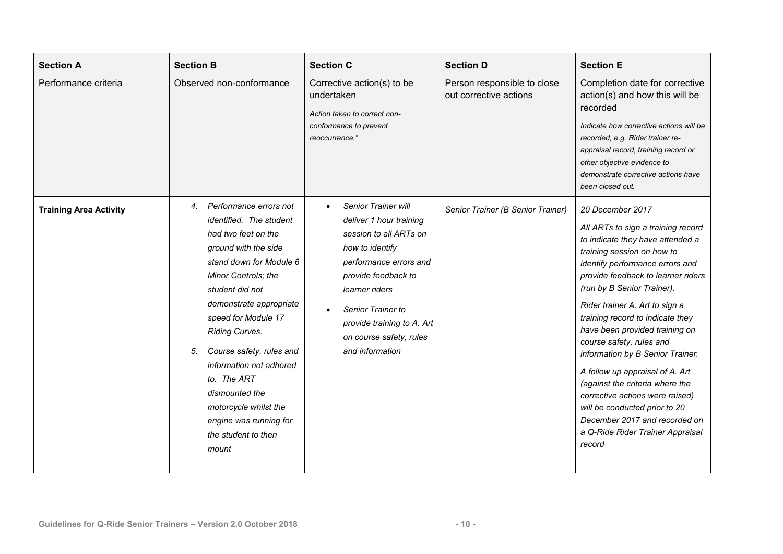| <b>Section A</b><br>Performance criteria | <b>Section B</b><br>Observed non-conformance                                                                                                                                                                                                                                                                                                                                                                                  | <b>Section C</b><br>Corrective action(s) to be<br>undertaken<br>Action taken to correct non-<br>conformance to prevent<br>reoccurrence."                                                                                                                        | <b>Section D</b><br>Person responsible to close<br>out corrective actions | <b>Section E</b><br>Completion date for corrective<br>action(s) and how this will be<br>recorded<br>Indicate how corrective actions will be<br>recorded, e.g. Rider trainer re-<br>appraisal record, training record or<br>other objective evidence to<br>demonstrate corrective actions have<br>been closed out.                                                                                                                                                                                                                                                                                                                |
|------------------------------------------|-------------------------------------------------------------------------------------------------------------------------------------------------------------------------------------------------------------------------------------------------------------------------------------------------------------------------------------------------------------------------------------------------------------------------------|-----------------------------------------------------------------------------------------------------------------------------------------------------------------------------------------------------------------------------------------------------------------|---------------------------------------------------------------------------|----------------------------------------------------------------------------------------------------------------------------------------------------------------------------------------------------------------------------------------------------------------------------------------------------------------------------------------------------------------------------------------------------------------------------------------------------------------------------------------------------------------------------------------------------------------------------------------------------------------------------------|
| <b>Training Area Activity</b>            | 4. Performance errors not<br>identified. The student<br>had two feet on the<br>ground with the side<br>stand down for Module 6<br>Minor Controls; the<br>student did not<br>demonstrate appropriate<br>speed for Module 17<br>Riding Curves.<br>Course safety, rules and<br>5.<br>information not adhered<br>to. The ART<br>dismounted the<br>motorcycle whilst the<br>engine was running for<br>the student to then<br>mount | Senior Trainer will<br>deliver 1 hour training<br>session to all ARTs on<br>how to identify<br>performance errors and<br>provide feedback to<br>learner riders<br>Senior Trainer to<br>provide training to A. Art<br>on course safety, rules<br>and information | Senior Trainer (B Senior Trainer)                                         | 20 December 2017<br>All ARTs to sign a training record<br>to indicate they have attended a<br>training session on how to<br>identify performance errors and<br>provide feedback to learner riders<br>(run by B Senior Trainer).<br>Rider trainer A. Art to sign a<br>training record to indicate they<br>have been provided training on<br>course safety, rules and<br>information by B Senior Trainer.<br>A follow up appraisal of A. Art<br>(against the criteria where the<br>corrective actions were raised)<br>will be conducted prior to 20<br>December 2017 and recorded on<br>a Q-Ride Rider Trainer Appraisal<br>record |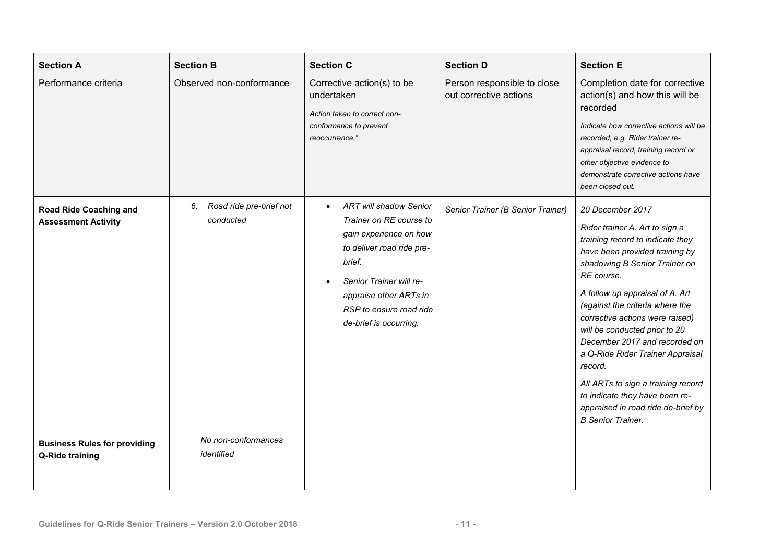| <b>Section A</b><br>Performance criteria                    | <b>Section B</b><br>Observed non-conformance | <b>Section C</b><br>Corrective action(s) to be<br>undertaken<br>Action taken to correct non-<br>conformance to prevent<br>reoccurrence."                                                                                                                      | <b>Section D</b><br>Person responsible to close<br>out corrective actions | <b>Section E</b><br>Completion date for corrective<br>action(s) and how this will be<br>recorded<br>Indicate how corrective actions will be<br>recorded, e.g. Rider trainer re-<br>appraisal record, training record or<br>other objective evidence to<br>demonstrate corrective actions have<br>been closed out.                                                                                                                                                                                                                           |
|-------------------------------------------------------------|----------------------------------------------|---------------------------------------------------------------------------------------------------------------------------------------------------------------------------------------------------------------------------------------------------------------|---------------------------------------------------------------------------|---------------------------------------------------------------------------------------------------------------------------------------------------------------------------------------------------------------------------------------------------------------------------------------------------------------------------------------------------------------------------------------------------------------------------------------------------------------------------------------------------------------------------------------------|
| <b>Road Ride Coaching and</b><br><b>Assessment Activity</b> | Road ride pre-brief not<br>6.<br>conducted   | <b>ART will shadow Senior</b><br>$\bullet$<br>Trainer on RE course to<br>gain experience on how<br>to deliver road ride pre-<br>brief.<br>Senior Trainer will re-<br>$\bullet$<br>appraise other ARTs in<br>RSP to ensure road ride<br>de-brief is occurring. | Senior Trainer (B Senior Trainer)                                         | 20 December 2017<br>Rider trainer A. Art to sign a<br>training record to indicate they<br>have been provided training by<br>shadowing B Senior Trainer on<br>RE course.<br>A follow up appraisal of A. Art<br>(against the criteria where the<br>corrective actions were raised)<br>will be conducted prior to 20<br>December 2017 and recorded on<br>a Q-Ride Rider Trainer Appraisal<br>record.<br>All ARTs to sign a training record<br>to indicate they have been re-<br>appraised in road ride de-brief by<br><b>B</b> Senior Trainer. |
| <b>Business Rules for providing</b><br>Q-Ride training      | No non-conformances<br>identified            |                                                                                                                                                                                                                                                               |                                                                           |                                                                                                                                                                                                                                                                                                                                                                                                                                                                                                                                             |